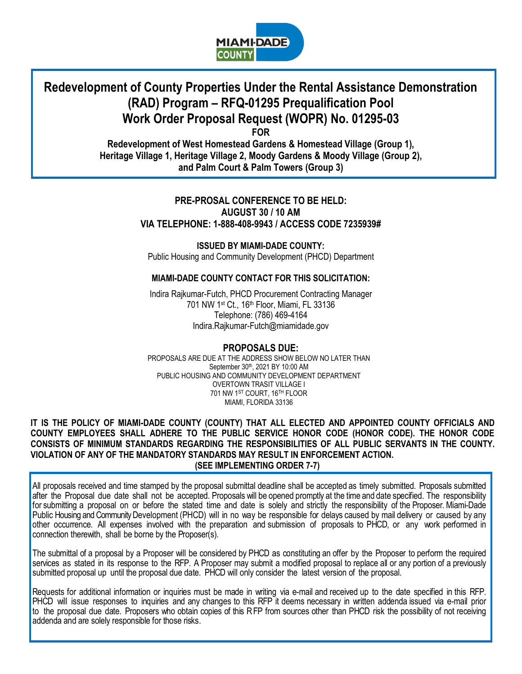

# **Redevelopment of County Properties Under the Rental Assistance Demonstration (RAD) Program – RFQ-01295 Prequalification Pool Work Order Proposal Request (WOPR) No. 01295-03**

**FOR**

**Redevelopment of West Homestead Gardens & Homestead Village (Group 1), Heritage Village 1, Heritage Village 2, Moody Gardens & Moody Village (Group 2), and Palm Court & Palm Towers (Group 3)**

# **PRE-PROSAL CONFERENCE TO BE HELD: AUGUST 30 / 10 AM VIA TELEPHONE: 1-888-408-9943 / ACCESS CODE 7235939#**

**ISSUED BY MIAMI-DADE COUNTY:** Public Housing and Community Development (PHCD) Department

# **MIAMI-DADE COUNTY CONTACT FOR THIS SOLICITATION:**

Indira Rajkumar-Futch, PHCD Procurement Contracting Manager 701 NW 1st Ct., 16th Floor, Miami, FL 33136 Telephone: (786) 469-4164 Indira.Rajkumar-Futch@miamidade.gov

**PROPOSALS DUE:**  PROPOSALS ARE DUE AT THE ADDRESS SHOW BELOW NO LATER THAN September 30th, 2021 BY 10:00 AM PUBLIC HOUSING AND COMMUNITY DEVELOPMENT DEPARTMENT OVERTOWN TRASIT VILLAGE I 701 NW 1ST COURT, 16TH FLOOR MIAMI, FLORIDA 33136

#### **IT IS THE POLICY OF MIAMI-DADE COUNTY (COUNTY) THAT ALL ELECTED AND APPOINTED COUNTY OFFICIALS AND COUNTY EMPLOYEES SHALL ADHERE TO THE PUBLIC SERVICE HONOR CODE (HONOR CODE). THE HONOR CODE CONSISTS OF MINIMUM STANDARDS REGARDING THE RESPONSIBILITIES OF ALL PUBLIC SERVANTS IN THE COUNTY. VIOLATION OF ANY OF THE MANDATORY STANDARDS MAY RESULT IN ENFORCEMENT ACTION. (SEE IMPLEMENTING ORDER 7-7)**

All proposals received and time stamped by the proposal submittal deadline shall be accepted as timely submitted. Proposals submitted after the Proposal due date shall not be accepted. Proposals will be opened promptly at the time and date specified. The responsibility for submitting a proposal on or before the stated time and date is solely and strictly the responsibility of the Proposer. Miami-Dade Public Housing and Community Development (PHCD) will in no way be responsible for delays caused by mail delivery or caused by any other occurrence. All expenses involved with the preparation and submission of proposals to PHCD, or any work performed in connection therewith, shall be borne by the Proposer(s).

The submittal of a proposal by a Proposer will be considered by PHCD as constituting an offer by the Proposer to perform the required services as stated in its response to the RFP. A Proposer may submit a modified proposal to replace all or any portion of a previously submitted proposal up until the proposal due date. PHCD will only consider the latest version of the proposal.

Requests for additional information or inquiries must be made in writing via e-mail and received up to the date specified in this RFP. PHCD will issue responses to inquiries and any changes to this RFP it deems necessary in written addenda issued via e-mail prior to the proposal due date. Proposers who obtain copies of this RFP from sources other than PHCD risk the possibility of not receiving addenda and are solely responsible for those risks.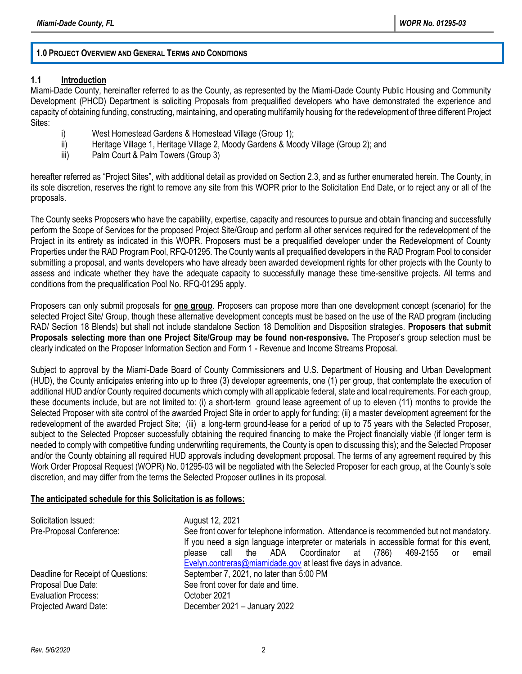#### **1.0 PROJECT OVERVIEW AND GENERAL TERMS AND CONDITIONS**

#### **1.1 Introduction**

Miami-Dade County, hereinafter referred to as the County, as represented by the Miami-Dade County Public Housing and Community Development (PHCD) Department is soliciting Proposals from prequalified developers who have demonstrated the experience and capacity of obtaining funding, constructing, maintaining, and operating multifamily housing for the redevelopment of three different Project Sites:

- i) West Homestead Gardens & Homestead Village (Group 1);
- ii) Heritage Village 1, Heritage Village 2, Moody Gardens & Moody Village (Group 2); and
- iii) Palm Court & Palm Towers (Group 3)

hereafter referred as "Project Sites", with additional detail as provided on Section 2.3, and as further enumerated herein. The County, in its sole discretion, reserves the right to remove any site from this WOPR prior to the Solicitation End Date, or to reject any or all of the proposals.

The County seeks Proposers who have the capability, expertise, capacity and resources to pursue and obtain financing and successfully perform the Scope of Services for the proposed Project Site/Group and perform all other services required for the redevelopment of the Project in its entirety as indicated in this WOPR. Proposers must be a prequalified developer under the Redevelopment of County Properties under the RAD Program Pool, RFQ-01295. The County wants all prequalified developers in the RAD Program Pool to consider submitting a proposal, and wants developers who have already been awarded development rights for other projects with the County to assess and indicate whether they have the adequate capacity to successfully manage these time-sensitive projects. All terms and conditions from the prequalification Pool No. RFQ-01295 apply.

Proposers can only submit proposals for **one group**. Proposers can propose more than one development concept (scenario) for the selected Project Site/ Group, though these alternative development concepts must be based on the use of the RAD program (including RAD/ Section 18 Blends) but shall not include standalone Section 18 Demolition and Disposition strategies. **Proposers that submit Proposals selecting more than one Project Site/Group may be found non-responsive.** The Proposer's group selection must be clearly indicated on the Proposer Information Section and Form 1 - Revenue and Income Streams Proposal.

Subject to approval by the Miami-Dade Board of County Commissioners and U.S. Department of Housing and Urban Development (HUD), the County anticipates entering into up to three (3) developer agreements, one (1) per group, that contemplate the execution of additional HUD and/or County required documents which comply with all applicable federal, state and local requirements. For each group, these documents include, but are not limited to: (i) a short-term ground lease agreement of up to eleven (11) months to provide the Selected Proposer with site control of the awarded Project Site in order to apply for funding; (ii) a master development agreement for the redevelopment of the awarded Project Site; (iii) a long-term ground-lease for a period of up to 75 years with the Selected Proposer, subject to the Selected Proposer successfully obtaining the required financing to make the Project financially viable (if longer term is needed to comply with competitive funding underwriting requirements, the County is open to discussing this); and the Selected Proposer and/or the County obtaining all required HUD approvals including development proposal. The terms of any agreement required by this Work Order Proposal Request (WOPR) No. 01295-03 will be negotiated with the Selected Proposer for each group, at the County's sole discretion, and may differ from the terms the Selected Proposer outlines in its proposal.

#### **The anticipated schedule for this Solicitation is as follows:**

| Solicitation Issued:<br>Pre-Proposal Conference: | August 12, 2021<br>See front cover for telephone information. Attendance is recommended but not mandatory.<br>If you need a sign language interpreter or materials in accessible format for this event,<br>469-2155<br>please call the ADA Coordinator at (786)<br>email<br>or<br>Evelyn.contreras@miamidade.gov at least five days in advance. |
|--------------------------------------------------|-------------------------------------------------------------------------------------------------------------------------------------------------------------------------------------------------------------------------------------------------------------------------------------------------------------------------------------------------|
| Deadline for Receipt of Questions:               | September 7, 2021, no later than 5:00 PM                                                                                                                                                                                                                                                                                                        |
| Proposal Due Date:                               | See front cover for date and time.                                                                                                                                                                                                                                                                                                              |
| <b>Evaluation Process:</b>                       | October 2021                                                                                                                                                                                                                                                                                                                                    |
| Projected Award Date:                            | December 2021 - January 2022                                                                                                                                                                                                                                                                                                                    |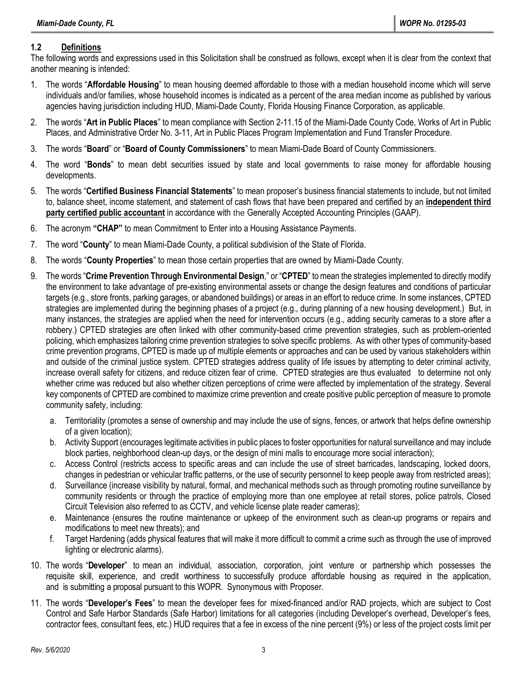### **1.2 Definitions**

The following words and expressions used in this Solicitation shall be construed as follows, except when it is clear from the context that another meaning is intended:

- 1. The words "**Affordable Housing**" to mean housing deemed affordable to those with a median household income which will serve individuals and/or families, whose household incomes is indicated as a percent of the area median income as published by various agencies having jurisdiction including HUD, Miami-Dade County, Florida Housing Finance Corporation, as applicable.
- 2. The words "**Art in Public Places**" to mean compliance with Section 2-11.15 of the Miami-Dade County Code, Works of Art in Public Places, and Administrative Order No. 3-11, Art in Public Places Program Implementation and Fund Transfer Procedure.
- 3. The words "**Board**" or "**Board of County Commissioners**" to mean Miami-Dade Board of County Commissioners.
- 4. The word "**Bonds**" to mean debt securities issued by state and local governments to raise money for affordable housing developments.
- 5. The words "**Certified Business Financial Statements**" to mean proposer's business financial statements to include, but not limited to, balance sheet, income statement, and statement of cash flows that have been prepared and certified by an **independent third party certified public accountant** in accordance with the Generally Accepted Accounting Principles (GAAP).
- 6. The acronym **"CHAP"** to mean Commitment to Enter into a Housing Assistance Payments.
- 7. The word "**County**" to mean Miami-Dade County, a political subdivision of the State of Florida.
- 8. The words "**County Properties**" to mean those certain properties that are owned by Miami-Dade County.
- 9. The words "**Crime Prevention Through Environmental Design**," or "**CPTED**" to mean the strategies implemented to directly modify the environment to take advantage of pre-existing environmental assets or change the design features and conditions of particular targets (e.g., store fronts, parking garages, or abandoned buildings) or areas in an effort to reduce crime. In some instances, CPTED strategies are implemented during the beginning phases of a project (e.g., during planning of a new housing development.) But, in many instances, the strategies are applied when the need for intervention occurs (e.g., adding security cameras to a store after a robbery.) CPTED strategies are often linked with other community-based crime prevention strategies, such as problem-oriented policing, which emphasizes tailoring crime prevention strategies to solve specific problems. As with other types of community-based crime prevention programs, CPTED is made up of multiple elements or approaches and can be used by various stakeholders within and outside of the criminal justice system. CPTED strategies address quality of life issues by attempting to deter criminal activity, increase overall safety for citizens, and reduce citizen fear of crime. CPTED strategies are thus evaluated to determine not only whether crime was reduced but also whether citizen perceptions of crime were affected by implementation of the strategy. Several key components of CPTED are combined to maximize crime prevention and create positive public perception of measure to promote community safety, including:
	- a. Territoriality (promotes a sense of ownership and may include the use of signs, fences, or artwork that helps define ownership of a given location);
	- b. Activity Support (encourages legitimate activities in public places to foster opportunities for natural surveillance and may include block parties, neighborhood clean-up days, or the design of mini malls to encourage more social interaction);
	- c. Access Control (restricts access to specific areas and can include the use of street barricades, landscaping, locked doors, changes in pedestrian or vehicular traffic patterns, or the use of security personnel to keep people away from restricted areas);
	- d. Surveillance (increase visibility by natural, formal, and mechanical methods such as through promoting routine surveillance by community residents or through the practice of employing more than one employee at retail stores, police patrols, Closed Circuit Television also referred to as CCTV, and vehicle license plate reader cameras);
	- e. Maintenance (ensures the routine maintenance or upkeep of the environment such as clean-up programs or repairs and modifications to meet new threats); and
	- f. Target Hardening (adds physical features that will make it more difficult to commit a crime such as through the use of improved lighting or electronic alarms).
- 10. The words "**Developer**" to mean an individual, association, corporation, joint venture or partnership which possesses the requisite skill, experience, and credit worthiness to successfully produce affordable housing as required in the application, and is submitting a proposal pursuant to this WOPR. Synonymous with Proposer.
- 11. The words "**Developer's Fees**" to mean the developer fees for mixed-financed and/or RAD projects, which are subject to Cost Control and Safe Harbor Standards (Safe Harbor) limitations for all categories (including Developer's overhead, Developer's fees, contractor fees, consultant fees, etc.) HUD requires that a fee in excess of the nine percent (9%) or less of the project costs limit per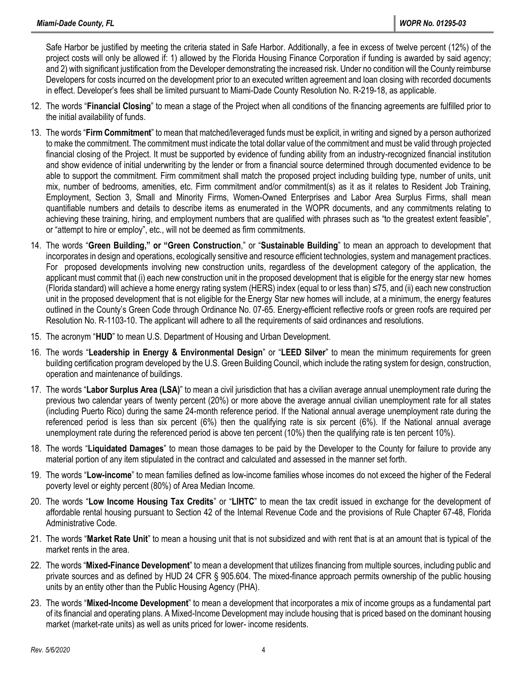Safe Harbor be justified by meeting the criteria stated in Safe Harbor. Additionally, a fee in excess of twelve percent (12%) of the project costs will only be allowed if: 1) allowed by the Florida Housing Finance Corporation if funding is awarded by said agency; and 2) with significant justification from the Developer demonstrating the increased risk. Under no condition will the County reimburse Developers for costs incurred on the development prior to an executed written agreement and loan closing with recorded documents in effect. Developer's fees shall be limited pursuant to Miami-Dade County Resolution No. R-219-18, as applicable.

- 12. The words "**Financial Closing**" to mean a stage of the Project when all conditions of the financing agreements are fulfilled prior to the initial availability of funds.
- 13. The words "**Firm Commitment**" to mean that matched/leveraged funds must be explicit, in writing and signed by a person authorized to make the commitment. The commitment must indicate the total dollar value of the commitment and must be valid through projected financial closing of the Project. It must be supported by evidence of funding ability from an industry-recognized financial institution and show evidence of initial underwriting by the lender or from a financial source determined through documented evidence to be able to support the commitment. Firm commitment shall match the proposed project including building type, number of units, unit mix, number of bedrooms, amenities, etc. Firm commitment and/or commitment(s) as it as it relates to Resident Job Training, Employment, Section 3, Small and Minority Firms, Women-Owned Enterprises and Labor Area Surplus Firms, shall mean quantifiable numbers and details to describe items as enumerated in the WOPR documents, and any commitments relating to achieving these training, hiring, and employment numbers that are qualified with phrases such as "to the greatest extent feasible", or "attempt to hire or employ", etc., will not be deemed as firm commitments.
- 14. The words "**Green Building," or "Green Construction**," or "**Sustainable Building**" to mean an approach to development that incorporates in design and operations, ecologically sensitive and resource efficient technologies, system and management practices. For proposed developments involving new construction units, regardless of the development category of the application, the applicant must commit that (i) each new construction unit in the proposed development that is eligible for the energy star new homes (Florida standard) will achieve a home energy rating system (HERS) index (equal to or less than) ≤75, and (ii) each new construction unit in the proposed development that is not eligible for the Energy Star new homes will include, at a minimum, the energy features outlined in the County's Green Code through Ordinance No. 07-65. Energy-efficient reflective roofs or green roofs are required per Resolution No. R-1103-10. The applicant will adhere to all the requirements of said ordinances and resolutions.
- 15. The acronym "**HUD**" to mean U.S. Department of Housing and Urban Development.
- 16. The words "**Leadership in Energy & Environmental Design**" or "**LEED Silver**" to mean the minimum requirements for green building certification program developed by the U.S. Green Building Council, which include the rating system for design, construction, operation and maintenance of buildings.
- 17. The words "**Labor Surplus Area (LSA)**" to mean a civil jurisdiction that has a civilian average annual unemployment rate during the previous two calendar years of twenty percent (20%) or more above the average annual civilian unemployment rate for all states (including Puerto Rico) during the same 24-month reference period. If the National annual average unemployment rate during the referenced period is less than six percent (6%) then the qualifying rate is six percent (6%). If the National annual average unemployment rate during the referenced period is above ten percent (10%) then the qualifying rate is ten percent 10%).
- 18. The words "**Liquidated Damages**" to mean those damages to be paid by the Developer to the County for failure to provide any material portion of any item stipulated in the contract and calculated and assessed in the manner set forth.
- 19. The words "**Low-income**" to mean families defined as low-income families whose incomes do not exceed the higher of the Federal poverty level or eighty percent (80%) of Area Median Income.
- 20. The words "**Low Income Housing Tax Credits**" or "**LIHTC**" to mean the tax credit issued in exchange for the development of affordable rental housing pursuant to Section 42 of the Internal Revenue Code and the provisions of Rule Chapter 67-48, Florida Administrative Code.
- 21. The words "**Market Rate Unit**" to mean a housing unit that is not subsidized and with rent that is at an amount that is typical of the market rents in the area.
- 22. The words "**Mixed-Finance Development**" to mean a development that utilizes financing from multiple sources, including public and private sources and as defined by HUD 24 CFR § 905.604. The mixed-finance approach permits ownership of the public housing units by an entity other than the Public Housing Agency (PHA).
- 23. The words "**Mixed-Income Development**" to mean a development that incorporates a mix of income groups as a fundamental part of its financial and operating plans. A Mixed-Income Development may include housing that is priced based on the dominant housing market (market-rate units) as well as units priced for lower- income residents.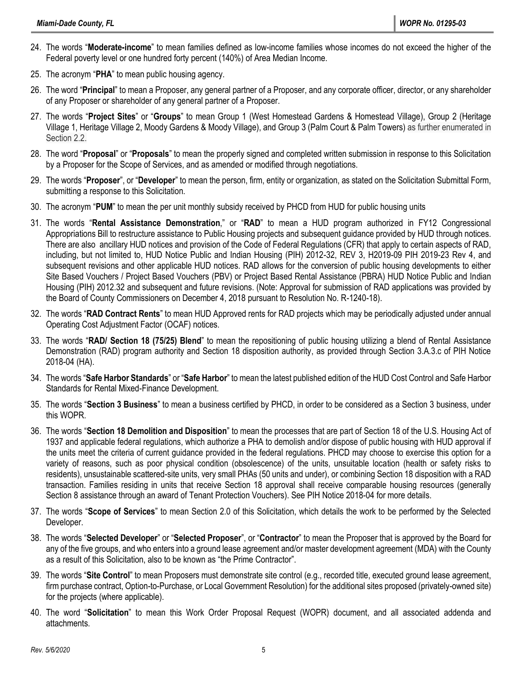- 24. The words "**Moderate-income**" to mean families defined as low-income families whose incomes do not exceed the higher of the Federal poverty level or one hundred forty percent (140%) of Area Median Income.
- 25. The acronym "**PHA**" to mean public housing agency.
- 26. The word "**Principal**" to mean a Proposer, any general partner of a Proposer, and any corporate officer, director, or any shareholder of any Proposer or shareholder of any general partner of a Proposer.
- 27. The words "**Project Sites**" or "**Groups**" to mean Group 1 (West Homestead Gardens & Homestead Village), Group 2 (Heritage Village 1, Heritage Village 2, Moody Gardens & Moody Village), and Group 3 (Palm Court & Palm Towers) as further enumerated in Section 2.2.
- 28. The word "**Proposal**" or "**Proposals**" to mean the properly signed and completed written submission in response to this Solicitation by a Proposer for the Scope of Services, and as amended or modified through negotiations.
- 29. The words "**Proposer**", or "**Developer**" to mean the person, firm, entity or organization, as stated on the Solicitation Submittal Form, submitting a response to this Solicitation.
- 30. The acronym "**PUM**" to mean the per unit monthly subsidy received by PHCD from HUD for public housing units
- 31. The words "**Rental Assistance Demonstration**," or "**RAD**" to mean a HUD program authorized in FY12 Congressional Appropriations Bill to restructure assistance to Public Housing projects and subsequent guidance provided by HUD through notices. There are also ancillary HUD notices and provision of the Code of Federal Regulations (CFR) that apply to certain aspects of RAD, including, but not limited to, HUD Notice Public and Indian Housing (PIH) 2012-32, REV 3, H2019-09 PIH 2019-23 Rev 4, and subsequent revisions and other applicable HUD notices. RAD allows for the conversion of public housing developments to either Site Based Vouchers / Project Based Vouchers (PBV) or Project Based Rental Assistance (PBRA) HUD Notice Public and Indian Housing (PIH) 2012.32 and subsequent and future revisions. (Note: Approval for submission of RAD applications was provided by the Board of County Commissioners on December 4, 2018 pursuant to Resolution No. R-1240-18).
- 32. The words "**RAD Contract Rents**" to mean HUD Approved rents for RAD projects which may be periodically adjusted under annual Operating Cost Adjustment Factor (OCAF) notices.
- 33. The words "**RAD/ Section 18 (75/25) Blend**" to mean the repositioning of public housing utilizing a blend of Rental Assistance Demonstration (RAD) program authority and Section 18 disposition authority, as provided through Section 3.A.3.c of PIH Notice 2018-04 (HA).
- 34. The words "**Safe Harbor Standards**" or "**Safe Harbor**" to mean the latest published edition of the HUD Cost Control and Safe Harbor Standards for Rental Mixed-Finance Development.
- 35. The words "**Section 3 Business**" to mean a business certified by PHCD, in order to be considered as a Section 3 business, under this WOPR.
- 36. The words "**Section 18 Demolition and Disposition**" to mean the processes that are part of Section 18 of the U.S. Housing Act of 1937 and applicable federal regulations, which authorize a PHA to demolish and/or dispose of public housing with HUD approval if the units meet the criteria of [current guidance](https://www.hud.gov/sites/dfiles/PIH/documents/pih2018-04.pdf) provided in the federal regulations. PHCD may choose to exercise this option for a variety of reasons, such as poor physical condition (obsolescence) of the units, unsuitable location (health or safety risks to residents), unsustainable scattered-site units, very small PHAs (50 units and under), or combining Section 18 disposition with a RAD transaction. Families residing in units that receive Section 18 approval shall receive comparable housing resources (generally Section 8 assistance through an award of Tenant Protection Vouchers). See [PIH Notice 2018-04](https://www.hud.gov/sites/dfiles/PIH/documents/pih2018-04.pdf) for more details.
- 37. The words "**Scope of Services**" to mean Section 2.0 of this Solicitation, which details the work to be performed by the Selected Developer.
- 38. The words "**Selected Developer**" or "**Selected Proposer**", or "**Contractor**" to mean the Proposer that is approved by the Board for any of the five groups, and who enters into a ground lease agreement and/or master development agreement (MDA) with the County as a result of this Solicitation, also to be known as "the Prime Contractor".
- 39. The words "**Site Control**" to mean Proposers must demonstrate site control (e.g., recorded title, executed ground lease agreement, firm purchase contract, Option-to-Purchase, or Local Government Resolution) for the additional sites proposed (privately-owned site) for the projects (where applicable).
- 40. The word "**Solicitation**" to mean this Work Order Proposal Request (WOPR) document, and all associated addenda and attachments.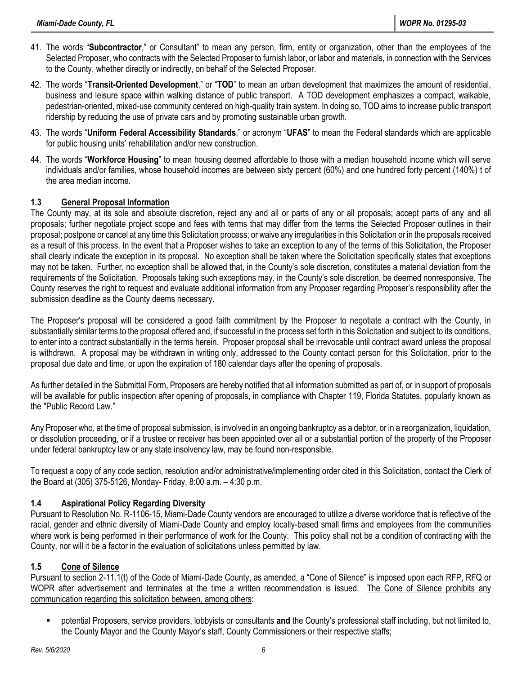- 41. The words "**Subcontractor**," or Consultant" to mean any person, firm, entity or organization, other than the employees of the Selected Proposer, who contracts with the Selected Proposer to furnish labor, or labor and materials, in connection with the Services to the County, whether directly or indirectly, on behalf of the Selected Proposer.
- 42. The words "**Transit-Oriented Development**," or "**TOD**" to mean an urban development that maximizes the amount of residential, business and leisure space within walking distance of public transport. A TOD development emphasizes a compact, walkable, pedestrian-oriented, mixed-use community centered on high-quality train system. In doing so, TOD aims to increase public transport ridership by reducing the use of private cars and by promoting sustainable urban growth.
- 43. The words "**Uniform Federal Accessibility Standards**," or acronym "**UFAS**" to mean the Federal standards which are applicable for public housing units' rehabilitation and/or new construction.
- 44. The words "**Workforce Housing**" to mean housing deemed affordable to those with a median household income which will serve individuals and/or families, whose household incomes are between sixty percent (60%) and one hundred forty percent (140%) t of the area median income.

### **1.3 General Proposal Information**

The County may, at its sole and absolute discretion, reject any and all or parts of any or all proposals; accept parts of any and all proposals; further negotiate project scope and fees with terms that may differ from the terms the Selected Proposer outlines in their proposal; postpone or cancel at any time this Solicitation process; or waive any irregularities in this Solicitation or in the proposals received as a result of this process. In the event that a Proposer wishes to take an exception to any of the terms of this Solicitation, the Proposer shall clearly indicate the exception in its proposal. No exception shall be taken where the Solicitation specifically states that exceptions may not be taken. Further, no exception shall be allowed that, in the County's sole discretion, constitutes a material deviation from the requirements of the Solicitation. Proposals taking such exceptions may, in the County's sole discretion, be deemed nonresponsive. The County reserves the right to request and evaluate additional information from any Proposer regarding Proposer's responsibility after the submission deadline as the County deems necessary.

The Proposer's proposal will be considered a good faith commitment by the Proposer to negotiate a contract with the County, in substantially similar terms to the proposal offered and, if successful in the process set forth in this Solicitation and subject to its conditions, to enter into a contract substantially in the terms herein. Proposer proposal shall be irrevocable until contract award unless the proposal is withdrawn. A proposal may be withdrawn in writing only, addressed to the County contact person for this Solicitation, prior to the proposal due date and time, or upon the expiration of 180 calendar days after the opening of proposals.

As further detailed in the Submittal Form, Proposers are hereby notified that all information submitted as part of, or in support of proposals will be available for public inspection after opening of proposals, in compliance with Chapter 119, Florida Statutes, popularly known as the "Public Record Law."

Any Proposer who, at the time of proposal submission, is involved in an ongoing bankruptcy as a debtor, or in a reorganization, liquidation, or dissolution proceeding, or if a trustee or receiver has been appointed over all or a substantial portion of the property of the Proposer under federal bankruptcy law or any state insolvency law, may be found non-responsible.

To request a copy of any code section, resolution and/or administrative/implementing order cited in this Solicitation, contact the Clerk of the Board at (305) 375-5126, Monday- Friday, 8:00 a.m. – 4:30 p.m.

### **1.4 Aspirational Policy Regarding Diversity**

Pursuant to Resolution No. R-1106-15, Miami-Dade County vendors are encouraged to utilize a diverse workforce that is reflective of the racial, gender and ethnic diversity of Miami-Dade County and employ locally-based small firms and employees from the communities where work is being performed in their performance of work for the County. This policy shall not be a condition of contracting with the County, nor will it be a factor in the evaluation of solicitations unless permitted by law.

### **1.5 Cone of Silence**

Pursuant to section 2-11.1(t) of the Code of Miami-Dade County, as amended, a "Cone of Silence" is imposed upon each RFP, RFQ or WOPR after advertisement and terminates at the time a written recommendation is issued. The Cone of Silence prohibits any communication regarding this solicitation between, among others:

▪ potential Proposers, service providers, lobbyists or consultants **and** the County's professional staff including, but not limited to, the County Mayor and the County Mayor's staff, County Commissioners or their respective staffs;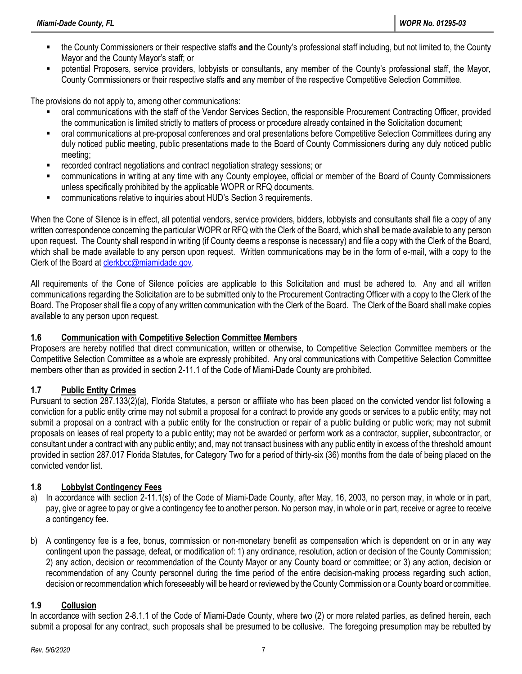- the County Commissioners or their respective staffs and the County's professional staff including, but not limited to, the County Mayor and the County Mayor's staff; or
- potential Proposers, service providers, lobbyists or consultants, any member of the County's professional staff, the Mayor, County Commissioners or their respective staffs **and** any member of the respective Competitive Selection Committee.

The provisions do not apply to, among other communications:

- oral communications with the staff of the Vendor Services Section, the responsible Procurement Contracting Officer, provided the communication is limited strictly to matters of process or procedure already contained in the Solicitation document;
- oral communications at pre-proposal conferences and oral presentations before Competitive Selection Committees during any duly noticed public meeting, public presentations made to the Board of County Commissioners during any duly noticed public meeting;
- recorded contract negotiations and contract negotiation strategy sessions; or
- communications in writing at any time with any County employee, official or member of the Board of County Commissioners unless specifically prohibited by the applicable WOPR or RFQ documents.
- communications relative to inquiries about HUD's Section 3 requirements.

When the Cone of Silence is in effect, all potential vendors, service providers, bidders, lobbyists and consultants shall file a copy of any written correspondence concerning the particular WOPR or RFQ with the Clerk of the Board, which shall be made available to any person upon request. The County shall respond in writing (if County deems a response is necessary) and file a copy with the Clerk of the Board, which shall be made available to any person upon request. Written communications may be in the form of e-mail, with a copy to the Clerk of the Board at [clerkbcc@miamidade.gov.](mailto:CLERKBCC@MIAMIDADE.GOV)

All requirements of the Cone of Silence policies are applicable to this Solicitation and must be adhered to. Any and all written communications regarding the Solicitation are to be submitted only to the Procurement Contracting Officer with a copy to the Clerk of the Board. The Proposer shall file a copy of any written communication with the Clerk of the Board. The Clerk of the Board shall make copies available to any person upon request.

#### **1.6 Communication with Competitive Selection Committee Members**

Proposers are hereby notified that direct communication, written or otherwise, to Competitive Selection Committee members or the Competitive Selection Committee as a whole are expressly prohibited. Any oral communications with Competitive Selection Committee members other than as provided in section 2-11.1 of the Code of Miami-Dade County are prohibited.

### **1.7 Public Entity Crimes**

Pursuant to section 287.133(2)(a), Florida Statutes, a person or affiliate who has been placed on the convicted vendor list following a conviction for a public entity crime may not submit a proposal for a contract to provide any goods or services to a public entity; may not submit a proposal on a contract with a public entity for the construction or repair of a public building or public work; may not submit proposals on leases of real property to a public entity; may not be awarded or perform work as a contractor, supplier, subcontractor, or consultant under a contract with any public entity; and, may not transact business with any public entity in excess of the threshold amount provided in section 287.017 Florida Statutes, for Category Two for a period of thirty-six (36) months from the date of being placed on the convicted vendor list.

#### **1.8 Lobbyist Contingency Fees**

- a) In accordance with section 2-11.1(s) of the Code of Miami-Dade County, after May, 16, 2003, no person may, in whole or in part, pay, give or agree to pay or give a contingency fee to another person. No person may, in whole or in part, receive or agree to receive a contingency fee.
- b) A contingency fee is a fee, bonus, commission or non-monetary benefit as compensation which is dependent on or in any way contingent upon the passage, defeat, or modification of: 1) any ordinance, resolution, action or decision of the County Commission; 2) any action, decision or recommendation of the County Mayor or any County board or committee; or 3) any action, decision or recommendation of any County personnel during the time period of the entire decision-making process regarding such action, decision or recommendation which foreseeably will be heard or reviewed by the County Commission or a County board or committee.

#### **1.9 Collusion**

In accordance with section 2-8.1.1 of the Code of Miami-Dade County, where two (2) or more related parties, as defined herein, each submit a proposal for any contract, such proposals shall be presumed to be collusive. The foregoing presumption may be rebutted by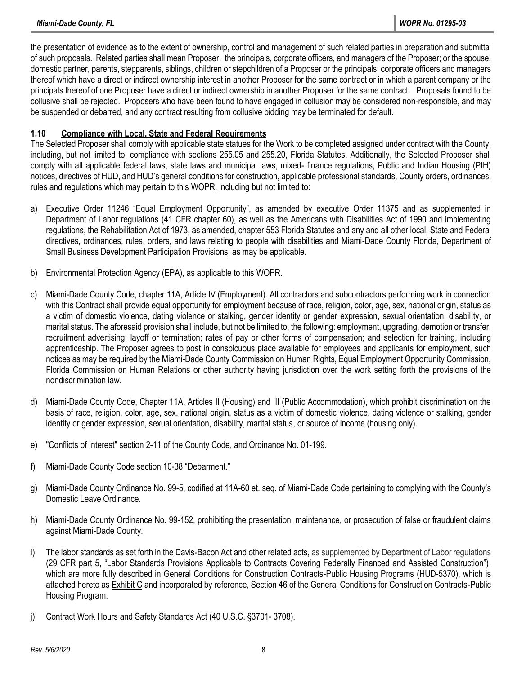the presentation of evidence as to the extent of ownership, control and management of such related parties in preparation and submittal of such proposals. Related parties shall mean Proposer, the principals, corporate officers, and managers of the Proposer; or the spouse, domestic partner, parents, stepparents, siblings, children or stepchildren of a Proposer or the principals, corporate officers and managers thereof which have a direct or indirect ownership interest in another Proposer for the same contract or in which a parent company or the principals thereof of one Proposer have a direct or indirect ownership in another Proposer for the same contract. Proposals found to be collusive shall be rejected. Proposers who have been found to have engaged in collusion may be considered non-responsible, and may be suspended or debarred, and any contract resulting from collusive bidding may be terminated for default.

#### **1.10 Compliance with Local, State and Federal Requirements**

The Selected Proposer shall comply with applicable state statues for the Work to be completed assigned under contract with the County, including, but not limited to, compliance with sections 255.05 and 255.20, Florida Statutes. Additionally, the Selected Proposer shall comply with all applicable federal laws, state laws and municipal laws, mixed- finance regulations, Public and Indian Housing (PIH) notices, directives of HUD, and HUD's general conditions for construction, applicable professional standards, County orders, ordinances, rules and regulations which may pertain to this WOPR, including but not limited to:

- a) Executive Order 11246 "Equal Employment Opportunity", as amended by executive Order 11375 and as supplemented in Department of Labor regulations (41 CFR chapter 60), as well as the Americans with Disabilities Act of 1990 and implementing regulations, the Rehabilitation Act of 1973, as amended, chapter 553 Florida Statutes and any and all other local, State and Federal directives, ordinances, rules, orders, and laws relating to people with disabilities and Miami-Dade County Florida, Department of Small Business Development Participation Provisions, as may be applicable.
- b) Environmental Protection Agency (EPA), as applicable to this WOPR.
- c) Miami-Dade County Code, chapter 11A, Article IV (Employment). All contractors and subcontractors performing work in connection with this Contract shall provide equal opportunity for employment because of race, religion, color, age, sex, national origin, status as a victim of domestic violence, dating violence or stalking, gender identity or gender expression, sexual orientation, disability, or marital status. The aforesaid provision shall include, but not be limited to, the following: employment, upgrading, demotion or transfer, recruitment advertising; layoff or termination; rates of pay or other forms of compensation; and selection for training, including apprenticeship. The Proposer agrees to post in conspicuous place available for employees and applicants for employment, such notices as may be required by the Miami-Dade County Commission on Human Rights, Equal Employment Opportunity Commission, Florida Commission on Human Relations or other authority having jurisdiction over the work setting forth the provisions of the nondiscrimination law.
- d) Miami-Dade County Code, Chapter 11A, Articles II (Housing) and III (Public Accommodation), which prohibit discrimination on the basis of race, religion, color, age, sex, national origin, status as a victim of domestic violence, dating violence or stalking, gender identity or gender expression, sexual orientation, disability, marital status, or source of income (housing only).
- e) "Conflicts of Interest" section 2-11 of the County Code, and Ordinance No. 01-199.
- f) Miami-Dade County Code section 10-38 "Debarment."
- g) Miami-Dade County Ordinance No. 99-5, codified at 11A-60 et. seq. of Miami-Dade Code pertaining to complying with the County's Domestic Leave Ordinance.
- h) Miami-Dade County Ordinance No. 99-152, prohibiting the presentation, maintenance, or prosecution of false or fraudulent claims against Miami-Dade County.
- i) The labor standards as set forth in the Davis-Bacon Act and other related acts, as supplemented by Department of Labor regulations [\(29 CFR part](https://www.law.cornell.edu/cfr/text/29/part-5) 5, "Labor Standards Provisions Applicable to Contracts Covering Federally Financed and Assisted Construction"), which are more fully described in General Conditions for Construction Contracts-Public Housing Programs (HUD-5370), which is attached hereto as Exhibit C and incorporated by reference, Section 46 of the General Conditions for Construction Contracts-Public Housing Program.
- j) Contract Work Hours and Safety Standards Act [\(40](https://www.law.cornell.edu/uscode/text/40/) U.S.C. [§3701-](https://www.law.cornell.edu/uscode/text/40/3701) [3708\)](https://www.law.cornell.edu/uscode/text/40/3708).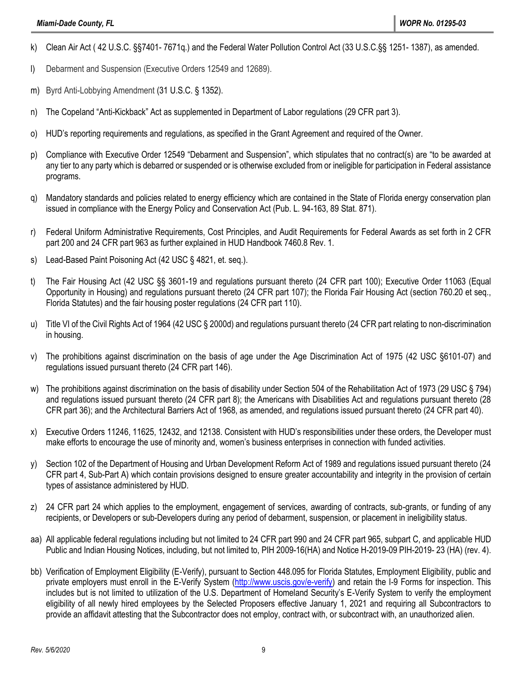- k) Clean Air Act ( [42](https://www.law.cornell.edu/uscode/text/42/) U.S.C. §[§7401-](https://www.law.cornell.edu/uscode/text/42/7401) [7671q.](https://www.law.cornell.edu/uscode/text/42/7671q)) and the Federal Water Pollution Control Act [\(33](https://www.law.cornell.edu/uscode/text/33/) U.S.C.§§ [1251-](https://www.law.cornell.edu/uscode/text/33/1251) [1387\)](https://www.law.cornell.edu/uscode/text/33/1387), as amended.
- l) Debarment and Suspension (Executive Orders 12549 and 12689).
- m) Byrd Anti-Lobbying Amendment [\(31 U.S.C. § 1352\)](https://www.law.cornell.edu/uscode/text/31/1352).
- n) The Copeland "Anti-Kickback" Act as supplemented in Department of Labor regulations (29 CFR part 3).
- o) HUD's reporting requirements and regulations, as specified in the Grant Agreement and required of the Owner.
- p) Compliance with Executive Order 12549 "Debarment and Suspension", which stipulates that no contract(s) are "to be awarded at any tier to any party which is debarred or suspended or is otherwise excluded from or ineligible for participation in Federal assistance programs.
- q) Mandatory standards and policies related to energy efficiency which are contained in the State of Florida energy conservation plan issued in compliance with the Energy Policy and Conservation Act (Pub. L. 94-163, 89 Stat. 871).
- r) Federal Uniform Administrative Requirements, Cost Principles, and Audit Requirements for Federal Awards as set forth in 2 CFR part 200 and 24 CFR part 963 as further explained in HUD Handbook 7460.8 Rev. 1.
- s) Lead-Based Paint Poisoning Act (42 USC § 4821, et. seq.).
- t) The Fair Housing Act (42 USC §§ 3601-19 and regulations pursuant thereto (24 CFR part 100); Executive Order 11063 (Equal Opportunity in Housing) and regulations pursuant thereto (24 CFR part 107); the Florida Fair Housing Act (section 760.20 et seq., Florida Statutes) and the fair housing poster regulations (24 CFR part 110).
- u) Title VI of the Civil Rights Act of 1964 (42 USC § 2000d) and regulations pursuant thereto (24 CFR part relating to non-discrimination in housing.
- v) The prohibitions against discrimination on the basis of age under the Age Discrimination Act of 1975 (42 USC §6101-07) and regulations issued pursuant thereto (24 CFR part 146).
- w) The prohibitions against discrimination on the basis of disability under Section 504 of the Rehabilitation Act of 1973 (29 USC § 794) and regulations issued pursuant thereto (24 CFR part 8); the Americans with Disabilities Act and regulations pursuant thereto (28 CFR part 36); and the Architectural Barriers Act of 1968, as amended, and regulations issued pursuant thereto (24 CFR part 40).
- x) Executive Orders 11246, 11625, 12432, and 12138. Consistent with HUD's responsibilities under these orders, the Developer must make efforts to encourage the use of minority and, women's business enterprises in connection with funded activities.
- y) Section 102 of the Department of Housing and Urban Development Reform Act of 1989 and regulations issued pursuant thereto (24 CFR part 4, Sub-Part A) which contain provisions designed to ensure greater accountability and integrity in the provision of certain types of assistance administered by HUD.
- z) 24 CFR part 24 which applies to the employment, engagement of services, awarding of contracts, sub-grants, or funding of any recipients, or Developers or sub-Developers during any period of debarment, suspension, or placement in ineligibility status.
- aa) All applicable federal regulations including but not limited to 24 CFR part 990 and 24 CFR part 965, subpart C, and applicable HUD Public and Indian Housing Notices, including, but not limited to, PIH 2009-16(HA) and Notice H-2019-09 PIH-2019- 23 (HA) (rev. 4).
- bb) Verification of Employment Eligibility (E-Verify), pursuant to Section 448.095 for Florida Statutes, Employment Eligibility, public and private employers must enroll in the E-Verify System [\(http://www.uscis.gov/e-verify\)](http://www.uscis.gov/e-verify) and retain the I-9 Forms for inspection. This includes but is not limited to utilization of the U.S. Department of Homeland Security's E-Verify System to verify the employment eligibility of all newly hired employees by the Selected Proposers effective January 1, 2021 and requiring all Subcontractors to provide an affidavit attesting that the Subcontractor does not employ, contract with, or subcontract with, an unauthorized alien.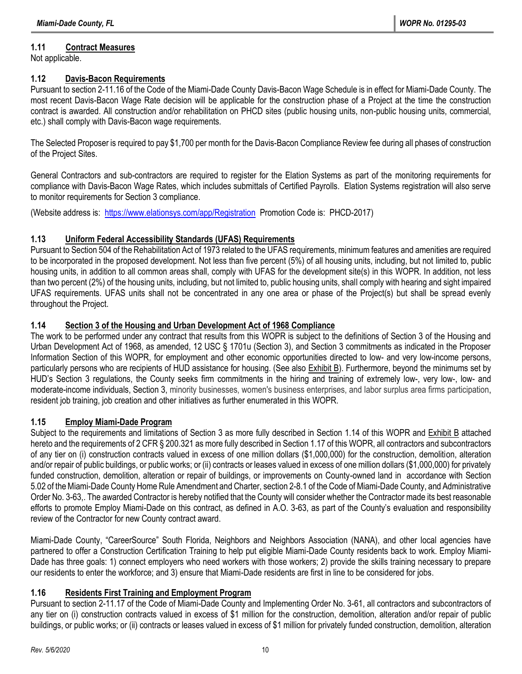# **1.11 Contract Measures**

Not applicable.

### **1.12 Davis-Bacon Requirements**

Pursuant to section 2-11.16 of the Code of the Miami-Dade County Davis-Bacon Wage Schedule is in effect for Miami-Dade County. The most recent Davis-Bacon Wage Rate decision will be applicable for the construction phase of a Project at the time the construction contract is awarded. All construction and/or rehabilitation on PHCD sites (public housing units, non-public housing units, commercial, etc.) shall comply with Davis-Bacon wage requirements.

The Selected Proposer is required to pay \$1,700 per month for the Davis-Bacon Compliance Review fee during all phases of construction of the Project Sites.

General Contractors and sub-contractors are required to register for the Elation Systems as part of the monitoring requirements for compliance with Davis-Bacon Wage Rates, which includes submittals of Certified Payrolls. Elation Systems registration will also serve to monitor requirements for Section 3 compliance.

(Website address is:<https://www.elationsys.com/app/Registration>Promotion Code is: PHCD-2017)

# **1.13 Uniform Federal Accessibility Standards (UFAS) Requirements**

Pursuant to Section 504 of the Rehabilitation Act of 1973 related to the UFAS requirements, minimum features and amenities are required to be incorporated in the proposed development. Not less than five percent (5%) of all housing units, including, but not limited to, public housing units, in addition to all common areas shall, comply with UFAS for the development site(s) in this WOPR. In addition, not less than two percent (2%) of the housing units, including, but not limited to, public housing units, shall comply with hearing and sight impaired UFAS requirements. UFAS units shall not be concentrated in any one area or phase of the Project(s) but shall be spread evenly throughout the Project.

# **1.14 Section 3 of the Housing and Urban Development Act of 1968 Compliance**

The work to be performed under any contract that results from this WOPR is subject to the definitions of Section 3 of the Housing and Urban Development Act of 1968, as amended, 12 USC § 1701u (Section 3), and Section 3 commitments as indicated in the Proposer Information Section of this WOPR, for employment and other economic opportunities directed to low- and very low-income persons, particularly persons who are recipients of HUD assistance for housing. (See also Exhibit B). Furthermore, beyond the minimums set by HUD's Section 3 regulations, the County seeks firm commitments in the hiring and training of extremely low-, very low-, low- and moderate-income individuals, Section 3, minority businesses, women's business enterprises, and labor surplus area firms participation, resident job training, job creation and other initiatives as further enumerated in this WOPR.

# **1.15 Employ Miami-Dade Program**

Subject to the requirements and limitations of Section 3 as more fully described in Section 1.14 of this WOPR and Exhibit B attached hereto and the requirements of 2 CFR § 200.321 as more fully described in Section 1.17 of this WOPR, all contractors and subcontractors of any tier on (i) construction contracts valued in excess of one million dollars (\$1,000,000) for the construction, demolition, alteration and/or repair of public buildings, or public works; or (ii) contracts or leases valued in excess of one million dollars (\$1,000,000) for privately funded construction, demolition, alteration or repair of buildings, or improvements on County-owned land in accordance with Section 5.02 of the Miami-Dade County Home Rule Amendment and Charter, section 2-8.1 of the Code of Miami-Dade County, and Administrative Order No. 3-63,. The awarded Contractor is hereby notified that the County will consider whether the Contractor made its best reasonable efforts to promote Employ Miami-Dade on this contract, as defined in A.O. 3-63, as part of the County's evaluation and responsibility review of the Contractor for new County contract award.

Miami-Dade County, "CareerSource" South Florida, Neighbors and Neighbors Association (NANA), and other local agencies have partnered to offer a Construction Certification Training to help put eligible Miami-Dade County residents back to work. Employ Miami-Dade has three goals: 1) connect employers who need workers with those workers; 2) provide the skills training necessary to prepare our residents to enter the workforce; and 3) ensure that Miami-Dade residents are first in line to be considered for jobs.

# **1.16 Residents First Training and Employment Program**

Pursuant to section 2-11.17 of the Code of Miami-Dade County and Implementing Order No. 3-61, all contractors and subcontractors of any tier on (i) construction contracts valued in excess of \$1 million for the construction, demolition, alteration and/or repair of public buildings, or public works; or (ii) contracts or leases valued in excess of \$1 million for privately funded construction, demolition, alteration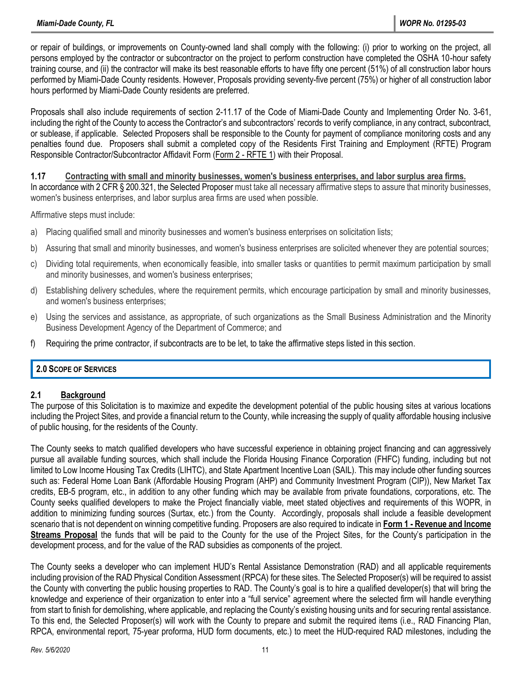or repair of buildings, or improvements on County-owned land shall comply with the following: (i) prior to working on the project, all persons employed by the contractor or subcontractor on the project to perform construction have completed the OSHA 10-hour safety training course, and (ii) the contractor will make its best reasonable efforts to have fifty one percent (51%) of all construction labor hours performed by Miami-Dade County residents. However, Proposals providing seventy-five percent (75%) or higher of all construction labor hours performed by Miami-Dade County residents are preferred.

Proposals shall also include requirements of section 2-11.17 of the Code of Miami-Dade County and Implementing Order No. 3-61, including the right of the County to access the Contractor's and subcontractors' records to verify compliance, in any contract, subcontract, or sublease, if applicable. Selected Proposers shall be responsible to the County for payment of compliance monitoring costs and any penalties found due. Proposers shall submit a completed copy of the Residents First Training and Employment (RFTE) Program Responsible Contractor/Subcontractor Affidavit Form (Form 2 - RFTE 1) with their Proposal.

**1.17 Contracting with small and minority businesses, women's business enterprises, and labor surplus area firms.** In accordance with 2 CFR § 200.321, the Selected Proposer must take all necessary affirmative steps to assure that minority businesses, women's business enterprises, and labor surplus area firms are used when possible.

Affirmative steps must include:

- a) Placing qualified small and minority businesses and women's business enterprises on solicitation lists;
- b) Assuring that small and minority businesses, and women's business enterprises are solicited whenever they are potential sources;
- c) Dividing total requirements, when economically feasible, into smaller tasks or quantities to permit maximum participation by small and minority businesses, and women's business enterprises;
- d) Establishing delivery schedules, where the requirement permits, which encourage participation by small and minority businesses, and women's business enterprises;
- e) Using the services and assistance, as appropriate, of such organizations as the Small Business Administration and the Minority Business Development Agency of the Department of Commerce; and
- f) Requiring the prime contractor, if subcontracts are to be let, to take the affirmative steps listed in this section.

#### **2.0 SCOPE OF SERVICES**

#### **2.1 Background**

The purpose of this Solicitation is to maximize and expedite the development potential of the public housing sites at various locations including the Project Sites, and provide a financial return to the County, while increasing the supply of quality affordable housing inclusive of public housing, for the residents of the County.

The County seeks to match qualified developers who have successful experience in obtaining project financing and can aggressively pursue all available funding sources, which shall include the Florida Housing Finance Corporation (FHFC) funding, including but not limited to Low Income Housing Tax Credits (LIHTC), and State Apartment Incentive Loan (SAIL). This may include other funding sources such as: Federal Home Loan Bank (Affordable Housing Program (AHP) and Community Investment Program (CIP)), New Market Tax credits, EB-5 program, etc., in addition to any other funding which may be available from private foundations, corporations, etc. The County seeks qualified developers to make the Project financially viable, meet stated objectives and requirements of this WOPR, in addition to minimizing funding sources (Surtax, etc.) from the County. Accordingly, proposals shall include a feasible development scenario that is not dependent on winning competitive funding. Proposers are also required to indicate in **Form 1 - Revenue and Income Streams Proposal** the funds that will be paid to the County for the use of the Project Sites, for the County's participation in the development process, and for the value of the RAD subsidies as components of the project.

The County seeks a developer who can implement HUD's Rental Assistance Demonstration (RAD) and all applicable requirements including provision of the RAD Physical Condition Assessment (RPCA) for these sites. The Selected Proposer(s) will be required to assist the County with converting the public housing properties to RAD. The County's goal is to hire a qualified developer(s) that will bring the knowledge and experience of their organization to enter into a "full service" agreement where the selected firm will handle everything from start to finish for demolishing, where applicable, and replacing the County's existing housing units and for securing rental assistance. To this end, the Selected Proposer(s) will work with the County to prepare and submit the required items (i.e., RAD Financing Plan, RPCA, environmental report, 75-year proforma, HUD form documents, etc.) to meet the HUD-required RAD milestones, including the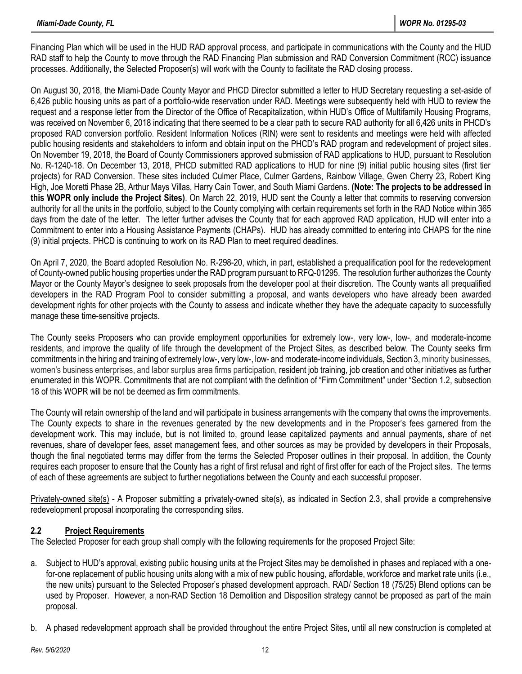Financing Plan which will be used in the HUD RAD approval process, and participate in communications with the County and the HUD RAD staff to help the County to move through the RAD Financing Plan submission and RAD Conversion Commitment (RCC) issuance processes. Additionally, the Selected Proposer(s) will work with the County to facilitate the RAD closing process.

On August 30, 2018, the Miami-Dade County Mayor and PHCD Director submitted a letter to HUD Secretary requesting a set-aside of 6,426 public housing units as part of a portfolio-wide reservation under RAD. Meetings were subsequently held with HUD to review the request and a response letter from the Director of the Office of Recapitalization, within HUD's Office of Multifamily Housing Programs, was received on November 6, 2018 indicating that there seemed to be a clear path to secure RAD authority for all 6,426 units in PHCD's proposed RAD conversion portfolio. Resident Information Notices (RIN) were sent to residents and meetings were held with affected public housing residents and stakeholders to inform and obtain input on the PHCD's RAD program and redevelopment of project sites. On November 19, 2018, the Board of County Commissioners approved submission of RAD applications to HUD, pursuant to Resolution No. R-1240-18. On December 13, 2018, PHCD submitted RAD applications to HUD for nine (9) initial public housing sites (first tier projects) for RAD Conversion. These sites included Culmer Place, Culmer Gardens, Rainbow Village, Gwen Cherry 23, Robert King High, Joe Moretti Phase 2B, Arthur Mays Villas, Harry Cain Tower, and South Miami Gardens. **(Note: The projects to be addressed in this WOPR only include the Project Sites)**. On March 22, 2019, HUD sent the County a letter that commits to reserving conversion authority for all the units in the portfolio, subject to the County complying with certain requirements set forth in the RAD Notice within 365 days from the date of the letter. The letter further advises the County that for each approved RAD application, HUD will enter into a Commitment to enter into a Housing Assistance Payments (CHAPs). HUD has already committed to entering into CHAPS for the nine (9) initial projects. PHCD is continuing to work on its RAD Plan to meet required deadlines.

On April 7, 2020, the Board adopted Resolution No. R-298-20, which, in part, established a prequalification pool for the redevelopment of County-owned public housing properties under the RAD program pursuant to RFQ-01295. The resolution further authorizes the County Mayor or the County Mayor's designee to seek proposals from the developer pool at their discretion. The County wants all prequalified developers in the RAD Program Pool to consider submitting a proposal, and wants developers who have already been awarded development rights for other projects with the County to assess and indicate whether they have the adequate capacity to successfully manage these time-sensitive projects.

The County seeks Proposers who can provide employment opportunities for extremely low-, very low-, low-, and moderate-income residents, and improve the quality of life through the development of the Project Sites, as described below. The County seeks firm commitments in the hiring and training of extremely low-, very low-, low- and moderate-income individuals, Section 3, minority businesses, women's business enterprises, and labor surplus area firms participation, resident job training, job creation and other initiatives as further enumerated in this WOPR. Commitments that are not compliant with the definition of "Firm Commitment" under "Section 1.2, subsection 18 of this WOPR will be not be deemed as firm commitments.

The County will retain ownership of the land and will participate in business arrangements with the company that owns the improvements. The County expects to share in the revenues generated by the new developments and in the Proposer's fees garnered from the development work. This may include, but is not limited to, ground lease capitalized payments and annual payments, share of net revenues, share of developer fees, asset management fees, and other sources as may be provided by developers in their Proposals, though the final negotiated terms may differ from the terms the Selected Proposer outlines in their proposal. In addition, the County requires each proposer to ensure that the County has a right of first refusal and right of first offer for each of the Project sites. The terms of each of these agreements are subject to further negotiations between the County and each successful proposer.

Privately-owned site(s) - A Proposer submitting a privately-owned site(s), as indicated in Section 2.3, shall provide a comprehensive redevelopment proposal incorporating the corresponding sites.

### **2.2 Project Requirements**

The Selected Proposer for each group shall comply with the following requirements for the proposed Project Site:

- a. Subject to HUD's approval, existing public housing units at the Project Sites may be demolished in phases and replaced with a onefor-one replacement of public housing units along with a mix of new public housing, affordable, workforce and market rate units (i.e., the new units) pursuant to the Selected Proposer's phased development approach. RAD/ Section 18 (75/25) Blend options can be used by Proposer. However, a non-RAD Section 18 Demolition and Disposition strategy cannot be proposed as part of the main proposal.
- b. A phased redevelopment approach shall be provided throughout the entire Project Sites, until all new construction is completed at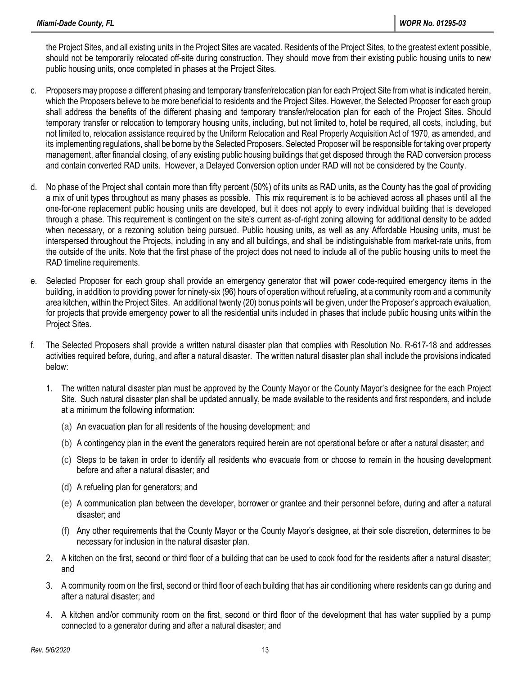the Project Sites, and all existing units in the Project Sites are vacated. Residents of the Project Sites, to the greatest extent possible, should not be temporarily relocated off-site during construction. They should move from their existing public housing units to new public housing units, once completed in phases at the Project Sites.

- c. Proposers may propose a different phasing and temporary transfer/relocation plan for each Project Site from what is indicated herein, which the Proposers believe to be more beneficial to residents and the Project Sites. However, the Selected Proposer for each group shall address the benefits of the different phasing and temporary transfer/relocation plan for each of the Project Sites. Should temporary transfer or relocation to temporary housing units, including, but not limited to, hotel be required, all costs, including, but not limited to, relocation assistance required by the Uniform Relocation and Real Property Acquisition Act of 1970, as amended, and its implementing regulations, shall be borne by the Selected Proposers. Selected Proposer will be responsible for taking over property management, after financial closing, of any existing public housing buildings that get disposed through the RAD conversion process and contain converted RAD units. However, a Delayed Conversion option under RAD will not be considered by the County.
- d. No phase of the Project shall contain more than fifty percent (50%) of its units as RAD units, as the County has the goal of providing a mix of unit types throughout as many phases as possible. This mix requirement is to be achieved across all phases until all the one-for-one replacement public housing units are developed, but it does not apply to every individual building that is developed through a phase. This requirement is contingent on the site's current as-of-right zoning allowing for additional density to be added when necessary, or a rezoning solution being pursued. Public housing units, as well as any Affordable Housing units, must be interspersed throughout the Projects, including in any and all buildings, and shall be indistinguishable from market-rate units, from the outside of the units. Note that the first phase of the project does not need to include all of the public housing units to meet the RAD timeline requirements.
- e. Selected Proposer for each group shall provide an emergency generator that will power code-required emergency items in the building, in addition to providing power for ninety-six (96) hours of operation without refueling, at a community room and a community area kitchen, within the Project Sites. An additional twenty (20) bonus points will be given, under the Proposer's approach evaluation, for projects that provide emergency power to all the residential units included in phases that include public housing units within the Project Sites.
- f. The Selected Proposers shall provide a written natural disaster plan that complies with Resolution No. R-617-18 and addresses activities required before, during, and after a natural disaster. The written natural disaster plan shall include the provisions indicated below:
	- 1. The written natural disaster plan must be approved by the County Mayor or the County Mayor's designee for the each Project Site. Such natural disaster plan shall be updated annually, be made available to the residents and first responders, and include at a minimum the following information:
		- (a) An evacuation plan for all residents of the housing development; and
		- (b) A contingency plan in the event the generators required herein are not operational before or after a natural disaster; and
		- (c) Steps to be taken in order to identify all residents who evacuate from or choose to remain in the housing development before and after a natural disaster; and
		- (d) A refueling plan for generators; and
		- (e) A communication plan between the developer, borrower or grantee and their personnel before, during and after a natural disaster; and
		- (f) Any other requirements that the County Mayor or the County Mayor's designee, at their sole discretion, determines to be necessary for inclusion in the natural disaster plan.
	- 2. A kitchen on the first, second or third floor of a building that can be used to cook food for the residents after a natural disaster; and
	- 3. A community room on the first, second or third floor of each building that has air conditioning where residents can go during and after a natural disaster; and
	- 4. A kitchen and/or community room on the first, second or third floor of the development that has water supplied by a pump connected to a generator during and after a natural disaster; and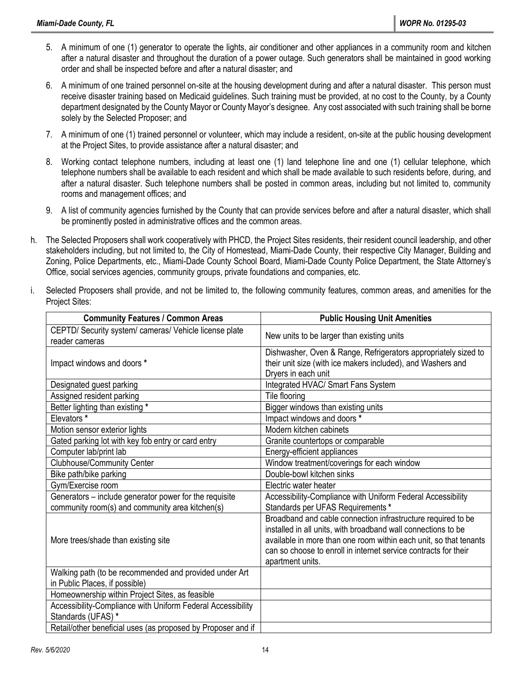- 5. A minimum of one (1) generator to operate the lights, air conditioner and other appliances in a community room and kitchen after a natural disaster and throughout the duration of a power outage. Such generators shall be maintained in good working order and shall be inspected before and after a natural disaster; and
- 6. A minimum of one trained personnel on-site at the housing development during and after a natural disaster. This person must receive disaster training based on Medicaid guidelines. Such training must be provided, at no cost to the County, by a County department designated by the County Mayor or County Mayor's designee. Any cost associated with such training shall be borne solely by the Selected Proposer; and
- 7. A minimum of one (1) trained personnel or volunteer, which may include a resident, on-site at the public housing development at the Project Sites, to provide assistance after a natural disaster; and
- 8. Working contact telephone numbers, including at least one (1) land telephone line and one (1) cellular telephone, which telephone numbers shall be available to each resident and which shall be made available to such residents before, during, and after a natural disaster. Such telephone numbers shall be posted in common areas, including but not limited to, community rooms and management offices; and
- 9. A list of community agencies furnished by the County that can provide services before and after a natural disaster, which shall be prominently posted in administrative offices and the common areas.
- h. The Selected Proposers shall work cooperatively with PHCD, the Project Sites residents, their resident council leadership, and other stakeholders including, but not limited to, the City of Homestead, Miami-Dade County, their respective City Manager, Building and Zoning, Police Departments, etc., Miami-Dade County School Board, Miami-Dade County Police Department, the State Attorney's Office, social services agencies, community groups, private foundations and companies, etc.
- i. Selected Proposers shall provide, and not be limited to, the following community features, common areas, and amenities for the Project Sites:

| <b>Community Features / Common Areas</b>                                 | <b>Public Housing Unit Amenities</b>                                                                                                                                                                                                                                                      |
|--------------------------------------------------------------------------|-------------------------------------------------------------------------------------------------------------------------------------------------------------------------------------------------------------------------------------------------------------------------------------------|
| CEPTD/ Security system/ cameras/ Vehicle license plate<br>reader cameras | New units to be larger than existing units                                                                                                                                                                                                                                                |
| Impact windows and doors *                                               | Dishwasher, Oven & Range, Refrigerators appropriately sized to<br>their unit size (with ice makers included), and Washers and<br>Dryers in each unit                                                                                                                                      |
| Designated guest parking                                                 | Integrated HVAC/ Smart Fans System                                                                                                                                                                                                                                                        |
| Assigned resident parking                                                | Tile flooring                                                                                                                                                                                                                                                                             |
| Better lighting than existing *                                          | Bigger windows than existing units                                                                                                                                                                                                                                                        |
| Elevators*                                                               | Impact windows and doors *                                                                                                                                                                                                                                                                |
| Motion sensor exterior lights                                            | Modern kitchen cabinets                                                                                                                                                                                                                                                                   |
| Gated parking lot with key fob entry or card entry                       | Granite countertops or comparable                                                                                                                                                                                                                                                         |
| Computer lab/print lab                                                   | Energy-efficient appliances                                                                                                                                                                                                                                                               |
| <b>Clubhouse/Community Center</b>                                        | Window treatment/coverings for each window                                                                                                                                                                                                                                                |
| Bike path/bike parking                                                   | Double-bowl kitchen sinks                                                                                                                                                                                                                                                                 |
| Gym/Exercise room                                                        | Electric water heater                                                                                                                                                                                                                                                                     |
| Generators - include generator power for the requisite                   | Accessibility-Compliance with Uniform Federal Accessibility                                                                                                                                                                                                                               |
| community room(s) and community area kitchen(s)                          | Standards per UFAS Requirements*                                                                                                                                                                                                                                                          |
| More trees/shade than existing site                                      | Broadband and cable connection infrastructure required to be<br>installed in all units, with broadband wall connections to be<br>available in more than one room within each unit, so that tenants<br>can so choose to enroll in internet service contracts for their<br>apartment units. |
| Walking path (to be recommended and provided under Art                   |                                                                                                                                                                                                                                                                                           |
| in Public Places, if possible)                                           |                                                                                                                                                                                                                                                                                           |
| Homeownership within Project Sites, as feasible                          |                                                                                                                                                                                                                                                                                           |
| Accessibility-Compliance with Uniform Federal Accessibility              |                                                                                                                                                                                                                                                                                           |
| Standards (UFAS) *                                                       |                                                                                                                                                                                                                                                                                           |
| Retail/other beneficial uses (as proposed by Proposer and if             |                                                                                                                                                                                                                                                                                           |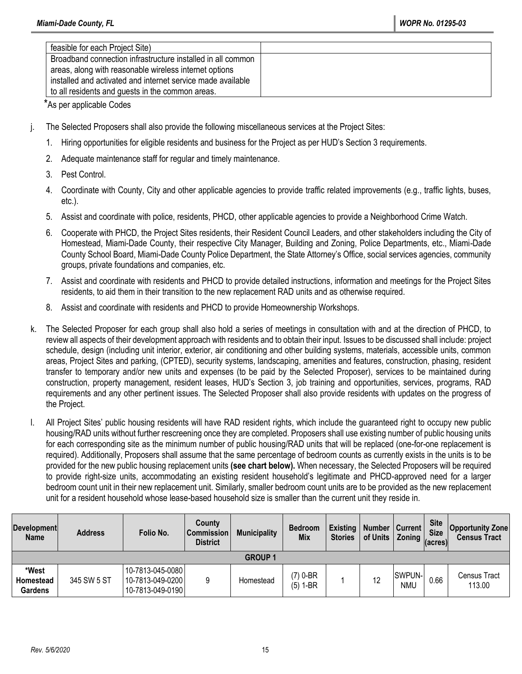| feasible for each Project Site)                             |  |
|-------------------------------------------------------------|--|
| Broadband connection infrastructure installed in all common |  |
| areas, along with reasonable wireless internet options      |  |
| installed and activated and internet service made available |  |
| to all residents and guests in the common areas.            |  |

\*As per applicable Codes

- j. The Selected Proposers shall also provide the following miscellaneous services at the Project Sites:
	- 1. Hiring opportunities for eligible residents and business for the Project as per HUD's Section 3 requirements.
	- 2. Adequate maintenance staff for regular and timely maintenance.
	- 3. Pest Control.
	- 4. Coordinate with County, City and other applicable agencies to provide traffic related improvements (e.g., traffic lights, buses, etc.).
	- 5. Assist and coordinate with police, residents, PHCD, other applicable agencies to provide a Neighborhood Crime Watch.
	- 6. Cooperate with PHCD, the Project Sites residents, their Resident Council Leaders, and other stakeholders including the City of Homestead, Miami-Dade County, their respective City Manager, Building and Zoning, Police Departments, etc., Miami-Dade County School Board, Miami-Dade County Police Department, the State Attorney's Office, social services agencies, community groups, private foundations and companies, etc.
	- 7. Assist and coordinate with residents and PHCD to provide detailed instructions, information and meetings for the Project Sites residents, to aid them in their transition to the new replacement RAD units and as otherwise required.
	- 8. Assist and coordinate with residents and PHCD to provide Homeownership Workshops.
- k. The Selected Proposer for each group shall also hold a series of meetings in consultation with and at the direction of PHCD, to review all aspects of their development approach with residents and to obtain their input. Issues to be discussed shall include: project schedule, design (including unit interior, exterior, air conditioning and other building systems, materials, accessible units, common areas, Project Sites and parking, (CPTED), security systems, landscaping, amenities and features, construction, phasing, resident transfer to temporary and/or new units and expenses (to be paid by the Selected Proposer), services to be maintained during construction, property management, resident leases, HUD's Section 3, job training and opportunities, services, programs, RAD requirements and any other pertinent issues. The Selected Proposer shall also provide residents with updates on the progress of the Project.
- l. All Project Sites' public housing residents will have RAD resident rights, which include the guaranteed right to occupy new public housing/RAD units without further rescreening once they are completed. Proposers shall use existing number of public housing units for each corresponding site as the minimum number of public housing/RAD units that will be replaced (one-for-one replacement is required). Additionally, Proposers shall assume that the same percentage of bedroom counts as currently exists in the units is to be provided for the new public housing replacement units **(see chart below).** When necessary, the Selected Proposers will be required to provide right-size units, accommodating an existing resident household's legitimate and PHCD-approved need for a larger bedroom count unit in their new replacement unit. Similarly, smaller bedroom count units are to be provided as the new replacement unit for a resident household whose lease-based household size is smaller than the current unit they reside in.

| <b>Development</b><br><b>Name</b>    | <b>Address</b> | Folio No.                                                | County<br><b>Commission</b><br><b>District</b> | <b>Municipality</b> | <b>Bedroom</b><br><b>Mix</b> | Existing<br><b>Stories</b> | Number   Current  <br>of Units | <b>Example 2</b> Toning (acres) | <b>Site</b><br><b>Size</b> | <b>Opportunity Zone</b><br><b>Census Tract</b> |
|--------------------------------------|----------------|----------------------------------------------------------|------------------------------------------------|---------------------|------------------------------|----------------------------|--------------------------------|---------------------------------|----------------------------|------------------------------------------------|
|                                      |                |                                                          |                                                | <b>GROUP 1</b>      |                              |                            |                                |                                 |                            |                                                |
| *West<br>Homestead<br><b>Gardens</b> | 345 SW 5 ST    | 10-7813-045-0080<br>10-7813-049-0200<br>10-7813-049-0190 | 9                                              | Homestead           | (7) 0-BR<br>$(5) 1-BR$       |                            | 12                             | <b>SWPUN-</b><br>nmu            | 0.66                       | Census Tract<br>113.00                         |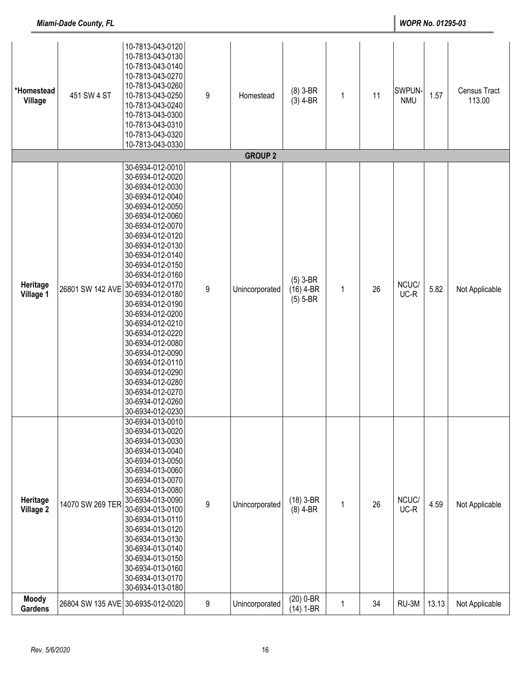| *Homestead<br>Village          | 451 SW 4 ST      | 10-7813-043-0120<br>10-7813-043-0130<br>10-7813-043-0140<br>10-7813-043-0270<br>10-7813-043-0260<br>10-7813-043-0250<br>10-7813-043-0240<br>10-7813-043-0300<br>10-7813-043-0310<br>10-7813-043-0320<br>10-7813-043-0330                                                                                                                                                                                                                                                                                                             | $\boldsymbol{9}$ | Homestead      | $(8)$ 3-BR<br>$(3)$ 4-BR                | $\mathbf 1$  | 11 | SWPUN-<br><b>NMU</b> | 1.57  | Census Tract<br>113.00 |
|--------------------------------|------------------|--------------------------------------------------------------------------------------------------------------------------------------------------------------------------------------------------------------------------------------------------------------------------------------------------------------------------------------------------------------------------------------------------------------------------------------------------------------------------------------------------------------------------------------|------------------|----------------|-----------------------------------------|--------------|----|----------------------|-------|------------------------|
|                                |                  |                                                                                                                                                                                                                                                                                                                                                                                                                                                                                                                                      |                  | <b>GROUP 2</b> |                                         |              |    |                      |       |                        |
| Heritage<br>Village 1          | 26801 SW 142 AVE | 30-6934-012-0010<br>30-6934-012-0020<br>30-6934-012-0030<br>30-6934-012-0040<br>30-6934-012-0050<br>30-6934-012-0060<br>30-6934-012-0070<br>30-6934-012-0120<br>30-6934-012-0130<br>30-6934-012-0140<br>30-6934-012-0150<br>30-6934-012-0160<br>30-6934-012-0170<br>30-6934-012-0180<br>30-6934-012-0190<br>30-6934-012-0200<br>30-6934-012-0210<br>30-6934-012-0220<br>30-6934-012-0080<br>30-6934-012-0090<br>30-6934-012-0110<br>30-6934-012-0290<br>30-6934-012-0280<br>30-6934-012-0270<br>30-6934-012-0260<br>30-6934-012-0230 | $9\,$            | Unincorporated | $(5)$ 3-BR<br>$(16)$ 4-BR<br>$(5)$ 5-BR | 1            | 26 | NCUC/<br>UC-R        | 5.82  | Not Applicable         |
| Heritage<br><b>Village 2</b>   | 14070 SW 269 TER | 30-6934-013-0010<br>30-6934-013-0020<br>30-6934-013-0030<br>30-6934-013-0040<br>30-6934-013-0050<br>30-6934-013-0060<br>30-6934-013-0070<br>30-6934-013-0080<br>30-6934-013-0090<br>30-6934-013-0100<br>30-6934-013-0110<br>30-6934-013-0120<br>30-6934-013-0130<br>30-6934-013-0140<br>30-6934-013-0150<br>30-6934-013-0160<br>30-6934-013-0170<br>30-6934-013-0180                                                                                                                                                                 | $9\,$            | Unincorporated | $(18)$ 3-BR<br>$(8)$ 4-BR               | $\mathbf{1}$ | 26 | NCUC/<br>UC-R        | 4.59  | Not Applicable         |
| <b>Moody</b><br><b>Gardens</b> | 26804 SW 135 AVE | 30-6935-012-0020                                                                                                                                                                                                                                                                                                                                                                                                                                                                                                                     | 9                | Unincorporated | $(20)$ 0-BR<br>$(14) 1-BR$              | 1            | 34 | RU-3M                | 13.13 | Not Applicable         |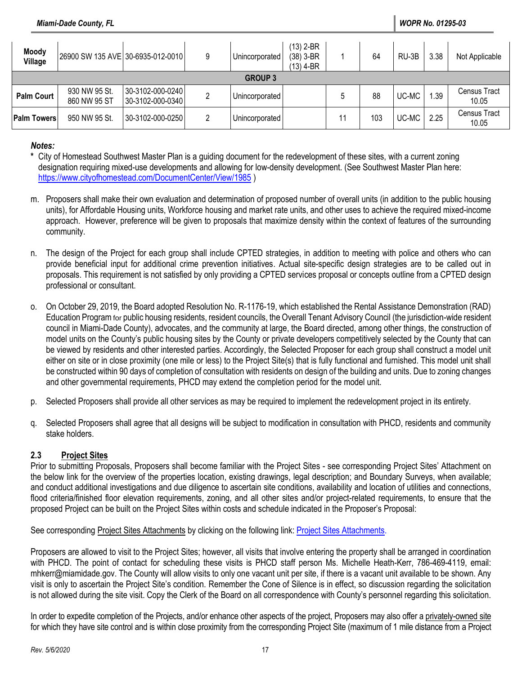| <b>Moody</b><br>Village | 26900 SW 135 AVE 30-6935-012-0010 |                                      | Unincorporated | (13) 2-BR<br>$(38)$ 3-BR<br>(13) 4-BR |    | 64  | RU-3B | 3.38 | Not Applicable               |
|-------------------------|-----------------------------------|--------------------------------------|----------------|---------------------------------------|----|-----|-------|------|------------------------------|
|                         |                                   |                                      | <b>GROUP 3</b> |                                       |    |     |       |      |                              |
| <b>Palm Court</b>       | 930 NW 95 St.<br>860 NW 95 ST     | 30-3102-000-0240<br>30-3102-000-0340 | Unincorporated |                                       |    | 88  | UC-MC | .39  | <b>Census Tract</b><br>10.05 |
| Palm Towers             | 950 NW 95 St.                     | 30-3102-000-0250                     | Unincorporated |                                       | 11 | 103 | UC-MC | 2.25 | <b>Census Tract</b><br>10.05 |

#### *Notes:*

- **\*** City of Homestead Southwest Master Plan is a guiding document for the redevelopment of these sites, with a current zoning designation requiring mixed-use developments and allowing for low-density development. (See Southwest Master Plan here: <https://www.cityofhomestead.com/DocumentCenter/View/1985> )
- m. Proposers shall make their own evaluation and determination of proposed number of overall units (in addition to the public housing units), for Affordable Housing units, Workforce housing and market rate units, and other uses to achieve the required mixed-income approach. However, preference will be given to proposals that maximize density within the context of features of the surrounding community.
- n. The design of the Project for each group shall include CPTED strategies, in addition to meeting with police and others who can provide beneficial input for additional crime prevention initiatives. Actual site-specific design strategies are to be called out in proposals. This requirement is not satisfied by only providing a CPTED services proposal or concepts outline from a CPTED design professional or consultant.
- o. On October 29, 2019, the Board adopted Resolution No. R-1176-19, which established the Rental Assistance Demonstration (RAD) Education Programfor public housing residents, resident councils, the Overall Tenant Advisory Council (the jurisdiction-wide resident council in Miami-Dade County), advocates, and the community at large, the Board directed, among other things, the construction of model units on the County's public housing sites by the County or private developers competitively selected by the County that can be viewed by residents and other interested parties. Accordingly, the Selected Proposer for each group shall construct a model unit either on site or in close proximity (one mile or less) to the Project Site(s) that is fully functional and furnished. This model unit shall be constructed within 90 days of completion of consultation with residents on design of the building and units. Due to zoning changes and other governmental requirements, PHCD may extend the completion period for the model unit.
- p. Selected Proposers shall provide all other services as may be required to implement the redevelopment project in its entirety.
- q. Selected Proposers shall agree that all designs will be subject to modification in consultation with PHCD, residents and community stake holders.

### **2.3 Project Sites**

Prior to submitting Proposals, Proposers shall become familiar with the Project Sites - see corresponding Project Sites' Attachment on the below link for the overview of the properties location, existing drawings, legal description; and Boundary Surveys, when available; and conduct additional investigations and due diligence to ascertain site conditions, availability and location of utilities and connections, flood criteria/finished floor elevation requirements, zoning, and all other sites and/or project-related requirements, to ensure that the proposed Project can be built on the Project Sites within costs and schedule indicated in the Proposer's Proposal:

### See corresponding Project Sites Attachments by clicking on the following link: [Project Sites Attachments.](https://app.box.com/s/xt060nlzp91p5uufdhl6hp0jtchhn8w2)

Proposers are allowed to visit to the Project Sites; however, all visits that involve entering the property shall be arranged in coordination with PHCD. The point of contact for scheduling these visits is PHCD staff person Ms. Michelle Heath-Kerr, 786-469-4119, email: [mhkerr@miamidade.gov.](mailto:mhkerr@miamidade.gov) The County will allow visits to only one vacant unit per site, if there is a vacant unit available to be shown. Any visit is only to ascertain the Project Site's condition. Remember the Cone of Silence is in effect, so discussion regarding the solicitation is not allowed during the site visit. Copy the Clerk of the Board on all correspondence with County's personnel regarding this solicitation.

In order to expedite completion of the Projects, and/or enhance other aspects of the project, Proposers may also offer a privately-owned site for which they have site control and is within close proximity from the corresponding Project Site (maximum of 1 mile distance from a Project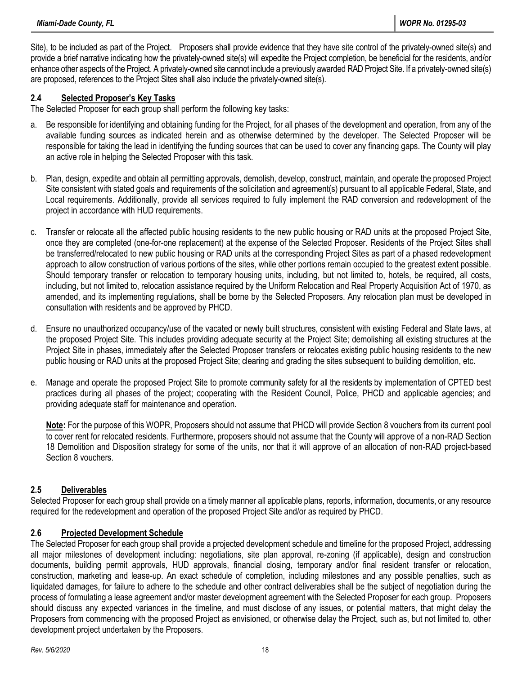Site), to be included as part of the Project. Proposers shall provide evidence that they have site control of the privately-owned site(s) and provide a brief narrative indicating how the privately-owned site(s) will expedite the Project completion, be beneficial for the residents, and/or enhance other aspects of the Project. A privately-owned site cannot include a previously awarded RAD Project Site. If a privately-owned site(s) are proposed, references to the Project Sites shall also include the privately-owned site(s).

### **2.4 Selected Proposer's Key Tasks**

The Selected Proposer for each group shall perform the following key tasks:

- a. Be responsible for identifying and obtaining funding for the Project, for all phases of the development and operation, from any of the available funding sources as indicated herein and as otherwise determined by the developer. The Selected Proposer will be responsible for taking the lead in identifying the funding sources that can be used to cover any financing gaps. The County will play an active role in helping the Selected Proposer with this task.
- b. Plan, design, expedite and obtain all permitting approvals, demolish, develop, construct, maintain, and operate the proposed Project Site consistent with stated goals and requirements of the solicitation and agreement(s) pursuant to all applicable Federal, State, and Local requirements. Additionally, provide all services required to fully implement the RAD conversion and redevelopment of the project in accordance with HUD requirements.
- c. Transfer or relocate all the affected public housing residents to the new public housing or RAD units at the proposed Project Site, once they are completed (one-for-one replacement) at the expense of the Selected Proposer. Residents of the Project Sites shall be transferred/relocated to new public housing or RAD units at the corresponding Project Sites as part of a phased redevelopment approach to allow construction of various portions of the sites, while other portions remain occupied to the greatest extent possible. Should temporary transfer or relocation to temporary housing units, including, but not limited to, hotels, be required, all costs, including, but not limited to, relocation assistance required by the Uniform Relocation and Real Property Acquisition Act of 1970, as amended, and its implementing regulations, shall be borne by the Selected Proposers. Any relocation plan must be developed in consultation with residents and be approved by PHCD.
- d. Ensure no unauthorized occupancy/use of the vacated or newly built structures, consistent with existing Federal and State laws, at the proposed Project Site. This includes providing adequate security at the Project Site; demolishing all existing structures at the Project Site in phases, immediately after the Selected Proposer transfers or relocates existing public housing residents to the new public housing or RAD units at the proposed Project Site; clearing and grading the sites subsequent to building demolition, etc.
- e. Manage and operate the proposed Project Site to promote community safety for all the residents by implementation of CPTED best practices during all phases of the project; cooperating with the Resident Council, Police, PHCD and applicable agencies; and providing adequate staff for maintenance and operation.

**Note:** For the purpose of this WOPR, Proposers should not assume that PHCD will provide Section 8 vouchers from its current pool to cover rent for relocated residents. Furthermore, proposers should not assume that the County will approve of a non-RAD Section 18 Demolition and Disposition strategy for some of the units, nor that it will approve of an allocation of non-RAD project-based Section 8 vouchers.

### **2.5 Deliverables**

Selected Proposer for each group shall provide on a timely manner all applicable plans, reports, information, documents, or any resource required for the redevelopment and operation of the proposed Project Site and/or as required by PHCD.

#### **2.6 Projected Development Schedule**

The Selected Proposer for each group shall provide a projected development schedule and timeline for the proposed Project, addressing all major milestones of development including: negotiations, site plan approval, re-zoning (if applicable), design and construction documents, building permit approvals, HUD approvals, financial closing, temporary and/or final resident transfer or relocation, construction, marketing and lease-up. An exact schedule of completion, including milestones and any possible penalties, such as liquidated damages, for failure to adhere to the schedule and other contract deliverables shall be the subject of negotiation during the process of formulating a lease agreement and/or master development agreement with the Selected Proposer for each group. Proposers should discuss any expected variances in the timeline, and must disclose of any issues, or potential matters, that might delay the Proposers from commencing with the proposed Project as envisioned, or otherwise delay the Project, such as, but not limited to, other development project undertaken by the Proposers.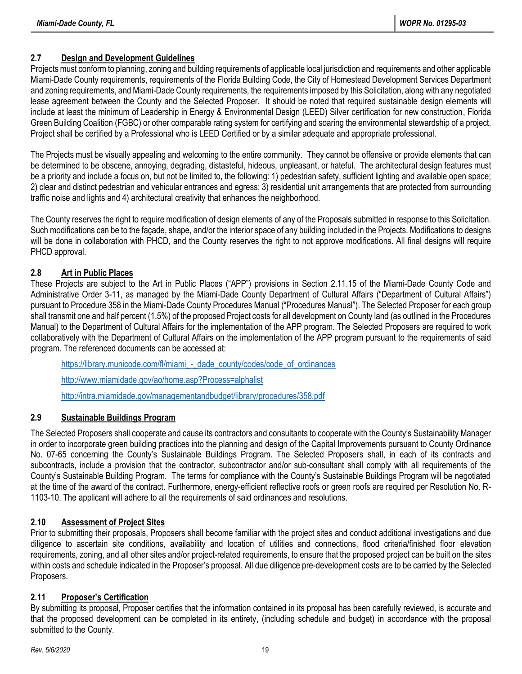# **2.7 Design and Development Guidelines**

Projects must conform to planning, zoning and building requirements of applicable local jurisdiction and requirements and other applicable Miami-Dade County requirements, requirements of the Florida Building Code, the City of Homestead Development Services Department and zoning requirements, and Miami-Dade County requirements, the requirements imposed by this Solicitation, along with any negotiated lease agreement between the County and the Selected Proposer. It should be noted that required sustainable design elements will include at least the minimum of Leadership in Energy & Environmental Design (LEED) Silver certification for new construction, Florida Green Building Coalition (FGBC) or other comparable rating system for certifying and soaring the environmental stewardship of a project. Project shall be certified by a Professional who is LEED Certified or by a similar adequate and appropriate professional.

The Projects must be visually appealing and welcoming to the entire community. They cannot be offensive or provide elements that can be determined to be obscene, annoying, degrading, distasteful, hideous, unpleasant, or hateful. The architectural design features must be a priority and include a focus on, but not be limited to, the following: 1) pedestrian safety, sufficient lighting and available open space; 2) clear and distinct pedestrian and vehicular entrances and egress; 3) residential unit arrangements that are protected from surrounding traffic noise and lights and 4) architectural creativity that enhances the neighborhood.

The County reserves the right to require modification of design elements of any of the Proposals submitted in response to this Solicitation. Such modifications can be to the façade, shape, and/or the interior space of any building included in the Projects. Modifications to designs will be done in collaboration with PHCD, and the County reserves the right to not approve modifications. All final designs will require PHCD approval.

# **2.8 Art in Public Places**

These Projects are subject to the Art in Public Places ("APP") provisions in Section 2.11.15 of the Miami-Dade County Code and Administrative Order 3-11, as managed by the Miami-Dade County Department of Cultural Affairs ("Department of Cultural Affairs") pursuant to Procedure 358 in the Miami-Dade County Procedures Manual ("Procedures Manual"). The Selected Proposer for each group shall transmit one and half percent (1.5%) of the proposed Project costs for all development on County land (as outlined in the Procedures Manual) to the Department of Cultural Affairs for the implementation of the APP program. The Selected Proposers are required to work collaboratively with the Department of Cultural Affairs on the implementation of the APP program pursuant to the requirements of said program. The referenced documents can be accessed at:

[https://library.municode.com/fl/miami\\_-\\_dade\\_county/codes/code\\_of\\_ordinances](https://library.municode.com/fl/miami_-_dade_county/codes/code_of_ordinances) <http://www.miamidade.gov/ao/home.asp?Process=alphalist> <http://intra.miamidade.gov/managementandbudget/library/procedures/358.pdf>

### **2.9 Sustainable Buildings Program**

The Selected Proposers shall cooperate and cause its contractors and consultants to cooperate with the County's Sustainability Manager in order to incorporate green building practices into the planning and design of the Capital Improvements pursuant to County Ordinance No. 07-65 concerning the County's Sustainable Buildings Program. The Selected Proposers shall, in each of its contracts and subcontracts, include a provision that the contractor, subcontractor and/or sub-consultant shall comply with all requirements of the County's Sustainable Building Program. The terms for compliance with the County's Sustainable Buildings Program will be negotiated at the time of the award of the contract. Furthermore, energy-efficient reflective roofs or green roofs are required per Resolution No. R-1103-10. The applicant will adhere to all the requirements of said ordinances and resolutions.

# **2.10 Assessment of Project Sites**

Prior to submitting their proposals, Proposers shall become familiar with the project sites and conduct additional investigations and due diligence to ascertain site conditions, availability and location of utilities and connections, flood criteria/finished floor elevation requirements, zoning, and all other sites and/or project-related requirements, to ensure that the proposed project can be built on the sites within costs and schedule indicated in the Proposer's proposal. All due diligence pre-development costs are to be carried by the Selected Proposers.

### **2.11 Proposer's Certification**

By submitting its proposal, Proposer certifies that the information contained in its proposal has been carefully reviewed, is accurate and that the proposed development can be completed in its entirety, (including schedule and budget) in accordance with the proposal submitted to the County.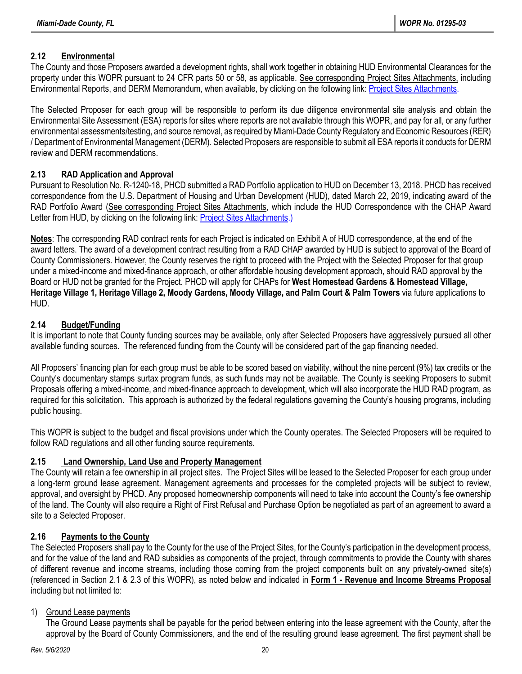# **2.12 Environmental**

The County and those Proposers awarded a development rights, shall work together in obtaining HUD Environmental Clearances for the property under this WOPR pursuant to 24 CFR parts 50 or 58, as applicable. See corresponding Project Sites Attachments, including Environmental Reports, and DERM Memorandum, when available, by clicking on the following link[: Project Sites Attachments.](https://app.box.com/s/xt060nlzp91p5uufdhl6hp0jtchhn8w2)

The Selected Proposer for each group will be responsible to perform its due diligence environmental site analysis and obtain the Environmental Site Assessment (ESA) reports for sites where reports are not available through this WOPR, and pay for all, or any further environmental assessments/testing, and source removal, as required by Miami-Dade County Regulatory and Economic Resources (RER) / Department of Environmental Management (DERM). Selected Proposers are responsible to submit all ESA reports it conducts for DERM review and DERM recommendations.

# **2.13 RAD Application and Approval**

Pursuant to Resolution No. R-1240-18, PHCD submitted a RAD Portfolio application to HUD on December 13, 2018. PHCD has received correspondence from the U.S. Department of Housing and Urban Development (HUD), dated March 22, 2019, indicating award of the RAD Portfolio Award (See corresponding Project Sites Attachments, which include the HUD Correspondence with the CHAP Award Letter from HUD, by clicking on the following link[: Project Sites Attachments.](https://app.box.com/s/xt060nlzp91p5uufdhl6hp0jtchhn8w2))

**Notes**: The corresponding RAD contract rents for each Project is indicated on Exhibit A of HUD correspondence, at the end of the award letters. The award of a development contract resulting from a RAD CHAP awarded by HUD is subject to approval of the Board of County Commissioners. However, the County reserves the right to proceed with the Project with the Selected Proposer for that group under a mixed-income and mixed-finance approach, or other affordable housing development approach, should RAD approval by the Board or HUD not be granted for the Project. PHCD will apply for CHAPs for **West Homestead Gardens & Homestead Village, Heritage Village 1, Heritage Village 2, Moody Gardens, Moody Village, and Palm Court & Palm Towers** via future applications to HUD.

# **2.14 Budget/Funding**

It is important to note that County funding sources may be available, only after Selected Proposers have aggressively pursued all other available funding sources. The referenced funding from the County will be considered part of the gap financing needed.

All Proposers' financing plan for each group must be able to be scored based on viability, without the nine percent (9%) tax credits or the County's documentary stamps surtax program funds, as such funds may not be available. The County is seeking Proposers to submit Proposals offering a mixed-income, and mixed-finance approach to development, which will also incorporate the HUD RAD program, as required for this solicitation. This approach is authorized by the federal regulations governing the County's housing programs, including public housing.

This WOPR is subject to the budget and fiscal provisions under which the County operates. The Selected Proposers will be required to follow RAD regulations and all other funding source requirements.

# **2.15 Land Ownership, Land Use and Property Management**

The County will retain a fee ownership in all project sites. The Project Sites will be leased to the Selected Proposer for each group under a long-term ground lease agreement. Management agreements and processes for the completed projects will be subject to review, approval, and oversight by PHCD. Any proposed homeownership components will need to take into account the County's fee ownership of the land. The County will also require a Right of First Refusal and Purchase Option be negotiated as part of an agreement to award a site to a Selected Proposer.

# **2.16 Payments to the County**

The Selected Proposers shall pay to the County for the use of the Project Sites, for the County's participation in the development process, and for the value of the land and RAD subsidies as components of the project, through commitments to provide the County with shares of different revenue and income streams, including those coming from the project components built on any privately-owned site(s) (referenced in Section 2.1 & 2.3 of this WOPR), as noted below and indicated in **Form 1 - Revenue and Income Streams Proposal** including but not limited to:

### 1) Ground Lease payments

The Ground Lease payments shall be payable for the period between entering into the lease agreement with the County, after the approval by the Board of County Commissioners, and the end of the resulting ground lease agreement. The first payment shall be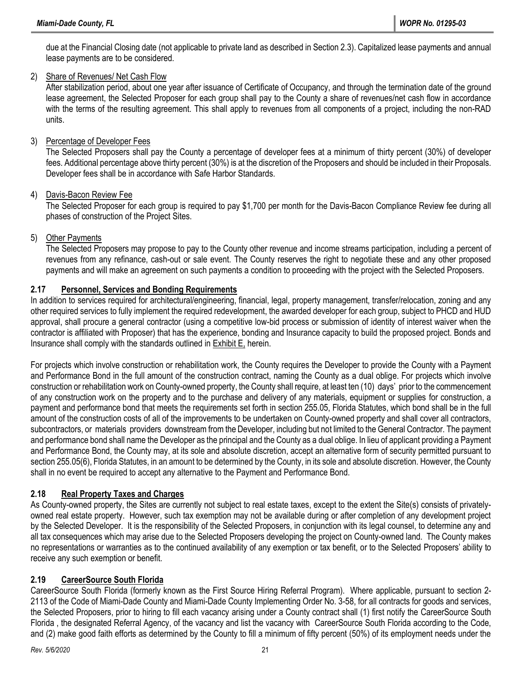due at the Financial Closing date (not applicable to private land as described in Section 2.3). Capitalized lease payments and annual lease payments are to be considered.

#### 2) Share of Revenues/ Net Cash Flow

After stabilization period, about one year after issuance of Certificate of Occupancy, and through the termination date of the ground lease agreement, the Selected Proposer for each group shall pay to the County a share of revenues/net cash flow in accordance with the terms of the resulting agreement. This shall apply to revenues from all components of a project, including the non-RAD units.

### 3) Percentage of Developer Fees

The Selected Proposers shall pay the County a percentage of developer fees at a minimum of thirty percent (30%) of developer fees. Additional percentage above thirty percent (30%) is at the discretion of the Proposers and should be included in their Proposals. Developer fees shall be in accordance with Safe Harbor Standards.

#### 4) Davis-Bacon Review Fee

The Selected Proposer for each group is required to pay \$1,700 per month for the Davis-Bacon Compliance Review fee during all phases of construction of the Project Sites.

### 5) Other Payments

The Selected Proposers may propose to pay to the County other revenue and income streams participation, including a percent of revenues from any refinance, cash-out or sale event. The County reserves the right to negotiate these and any other proposed payments and will make an agreement on such payments a condition to proceeding with the project with the Selected Proposers.

### **2.17 Personnel, Services and Bonding Requirements**

In addition to services required for architectural/engineering, financial, legal, property management, transfer/relocation, zoning and any other required services to fully implement the required redevelopment, the awarded developer for each group, subject to PHCD and HUD approval, shall procure a general contractor (using a competitive low-bid process or submission of identity of interest waiver when the contractor is affiliated with Proposer) that has the experience, bonding and Insurance capacity to build the proposed project. Bonds and Insurance shall comply with the standards outlined in Exhibit E, herein.

For projects which involve construction or rehabilitation work, the County requires the Developer to provide the County with a Payment and Performance Bond in the full amount of the construction contract, naming the County as a dual oblige. For projects which involve construction or rehabilitation work on County-owned property, the County shall require, at least ten (10) days' prior to the commencement of any construction work on the property and to the purchase and delivery of any materials, equipment or supplies for construction, a payment and performance bond that meets the requirements set forth in section 255.05, Florida Statutes, which bond shall be in the full amount of the construction costs of all of the improvements to be undertaken on County-owned property and shall cover all contractors, subcontractors, or materials providers downstream from the Developer, including but not limited to the General Contractor. The payment and performance bond shall name the Developer as the principal and the County as a dual oblige. In lieu of applicant providing a Payment and Performance Bond, the County may, at its sole and absolute discretion, accept an alternative form of security permitted pursuant to section 255.05(6), Florida Statutes, in an amount to be determined by the County, in its sole and absolute discretion. However, the County shall in no event be required to accept any alternative to the Payment and Performance Bond.

### **2.18 Real Property Taxes and Charges**

As County-owned property, the Sites are currently not subject to real estate taxes, except to the extent the Site(s) consists of privatelyowned real estate property. However, such tax exemption may not be available during or after completion of any development project by the Selected Developer. It is the responsibility of the Selected Proposers, in conjunction with its legal counsel, to determine any and all tax consequences which may arise due to the Selected Proposers developing the project on County-owned land. The County makes no representations or warranties as to the continued availability of any exemption or tax benefit, or to the Selected Proposers' ability to receive any such exemption or benefit.

### **2.19 CareerSource South Florida**

CareerSource South Florida (formerly known as the First Source Hiring Referral Program). Where applicable, pursuant to section 2- 2113 of the Code of Miami-Dade County and Miami-Dade County Implementing Order No. 3-58, for all contracts for goods and services, the Selected Proposers, prior to hiring to fill each vacancy arising under a County contract shall (1) first notify the CareerSource South Florida , the designated Referral Agency, of the vacancy and list the vacancy with CareerSource South Florida according to the Code, and (2) make good faith efforts as determined by the County to fill a minimum of fifty percent (50%) of its employment needs under the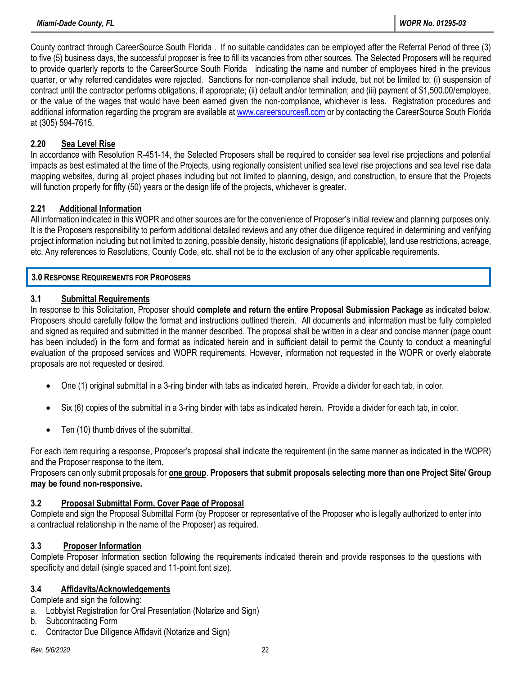County contract through CareerSource South Florida . If no suitable candidates can be employed after the Referral Period of three (3) to five (5) business days, the successful proposer is free to fill its vacancies from other sources. The Selected Proposers will be required to provide quarterly reports to the CareerSource South Florida indicating the name and number of employees hired in the previous quarter, or why referred candidates were rejected. Sanctions for non-compliance shall include, but not be limited to: (i) suspension of contract until the contractor performs obligations, if appropriate; (ii) default and/or termination; and (iii) payment of \$1,500.00/employee, or the value of the wages that would have been earned given the non-compliance, whichever is less. Registration procedures and additional information regarding the program are available at [www.careersourcesfl.com](http://www.careersourcesfl.com/) or by contacting the CareerSource South Florida at (305) 594-7615.

#### **2.20 Sea Level Rise**

In accordance with Resolution R-451-14, the Selected Proposers shall be required to consider sea level rise projections and potential impacts as best estimated at the time of the Projects, using regionally consistent unified sea level rise projections and sea level rise data mapping websites, during all project phases including but not limited to planning, design, and construction, to ensure that the Projects will function properly for fifty (50) years or the design life of the projects, whichever is greater.

### **2.21 Additional Information**

All information indicated in this WOPR and other sources are for the convenience of Proposer's initial review and planning purposes only. It is the Proposers responsibility to perform additional detailed reviews and any other due diligence required in determining and verifying project information including but not limited to zoning, possible density, historic designations (if applicable), land use restrictions, acreage, etc. Any references to Resolutions, County Code, etc. shall not be to the exclusion of any other applicable requirements.

#### **3.0 RESPONSE REQUIREMENTS FOR PROPOSERS**

#### **3.1 Submittal Requirements**

In response to this Solicitation, Proposer should **complete and return the entire Proposal Submission Package** as indicated below. Proposers should carefully follow the format and instructions outlined therein. All documents and information must be fully completed and signed as required and submitted in the manner described. The proposal shall be written in a clear and concise manner (page count has been included) in the form and format as indicated herein and in sufficient detail to permit the County to conduct a meaningful evaluation of the proposed services and WOPR requirements. However, information not requested in the WOPR or overly elaborate proposals are not requested or desired.

- One (1) original submittal in a 3-ring binder with tabs as indicated herein. Provide a divider for each tab, in color.
- Six (6) copies of the submittal in a 3-ring binder with tabs as indicated herein. Provide a divider for each tab, in color.
- Ten (10) thumb drives of the submittal.

For each item requiring a response, Proposer's proposal shall indicate the requirement (in the same manner as indicated in the WOPR) and the Proposer response to the item.

Proposers can only submit proposals for **one group**. **Proposers that submit proposals selecting more than one Project Site/ Group may be found non-responsive.**

#### **3.2 Proposal Submittal Form, Cover Page of Proposal**

Complete and sign the Proposal Submittal Form (by Proposer or representative of the Proposer who is legally authorized to enter into a contractual relationship in the name of the Proposer) as required.

#### **3.3 Proposer Information**

Complete Proposer Information section following the requirements indicated therein and provide responses to the questions with specificity and detail (single spaced and 11-point font size).

#### **3.4 Affidavits/Acknowledgements**

Complete and sign the following:

- a. Lobbyist Registration for Oral Presentation (Notarize and Sign)
- b. Subcontracting Form
- c. Contractor Due Diligence Affidavit (Notarize and Sign)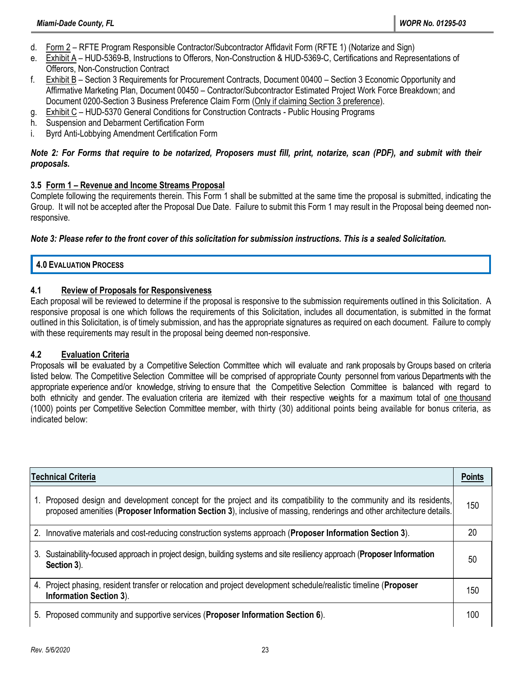- d. Form 2 RFTE Program Responsible Contractor/Subcontractor Affidavit Form (RFTE 1) (Notarize and Sign)
- e. Exhibit A HUD-5369-B, Instructions to Offerors, Non-Construction & HUD-5369-C, Certifications and Representations of Offerors, Non-Construction Contract
- f. Exhibit B Section 3 Requirements for Procurement Contracts, Document 00400 Section 3 Economic Opportunity and Affirmative Marketing Plan, Document 00450 – Contractor/Subcontractor Estimated Project Work Force Breakdown; and Document 0200-Section 3 Business Preference Claim Form (Only if claiming Section 3 preference).
- g. Exhibit C HUD-5370 General Conditions for Construction Contracts Public Housing Programs
- h. Suspension and Debarment Certification Form
- i. Byrd Anti-Lobbying Amendment Certification Form

#### *Note 2: For Forms that require to be notarized, Proposers must fill, print, notarize, scan (PDF), and submit with their proposals.*

#### **3.5 Form 1 – Revenue and Income Streams Proposal**

Complete following the requirements therein. This Form 1 shall be submitted at the same time the proposal is submitted, indicating the Group. It will not be accepted after the Proposal Due Date. Failure to submit this Form 1 may result in the Proposal being deemed nonresponsive.

#### *Note 3: Please refer to the front cover of this solicitation for submission instructions. This is a sealed Solicitation.*

#### **4.0 EVALUATION PROCESS**

#### **4.1 Review of Proposals for Responsiveness**

Each proposal will be reviewed to determine if the proposal is responsive to the submission requirements outlined in this Solicitation. A responsive proposal is one which follows the requirements of this Solicitation, includes all documentation, is submitted in the format outlined in this Solicitation, is of timely submission, and has the appropriate signatures as required on each document. Failure to comply with these requirements may result in the proposal being deemed non-responsive.

#### **4.2 Evaluation Criteria**

Proposals will be evaluated by a Competitive Selection Committee which will evaluate and rank proposals by Groups based on criteria listed below. The Competitive Selection Committee will be comprised of appropriate County personnel from various Departments with the appropriate experience and/or knowledge, striving to ensure that the Competitive Selection Committee is balanced with regard to both ethnicity and gender. The evaluation criteria are itemized with their respective weights for a maximum total of one thousand (1000) points per Competitive Selection Committee member, with thirty (30) additional points being available for bonus criteria, as indicated below:

| <b>Technical Criteria</b>                                                                                                                                                                                                                             | <b>Points</b> |
|-------------------------------------------------------------------------------------------------------------------------------------------------------------------------------------------------------------------------------------------------------|---------------|
| Proposed design and development concept for the project and its compatibility to the community and its residents,<br>$1_{-}$<br>proposed amenities (Proposer Information Section 3), inclusive of massing, renderings and other architecture details. | 150           |
| 2. Innovative materials and cost-reducing construction systems approach (Proposer Information Section 3).                                                                                                                                             | 20            |
| Sustainability-focused approach in project design, building systems and site resiliency approach (Proposer Information<br>3.<br>Section 3).                                                                                                           | 50            |
| 4. Project phasing, resident transfer or relocation and project development schedule/realistic timeline (Proposer<br><b>Information Section 3).</b>                                                                                                   | 150           |
| 5. Proposed community and supportive services (Proposer Information Section 6).                                                                                                                                                                       | 100           |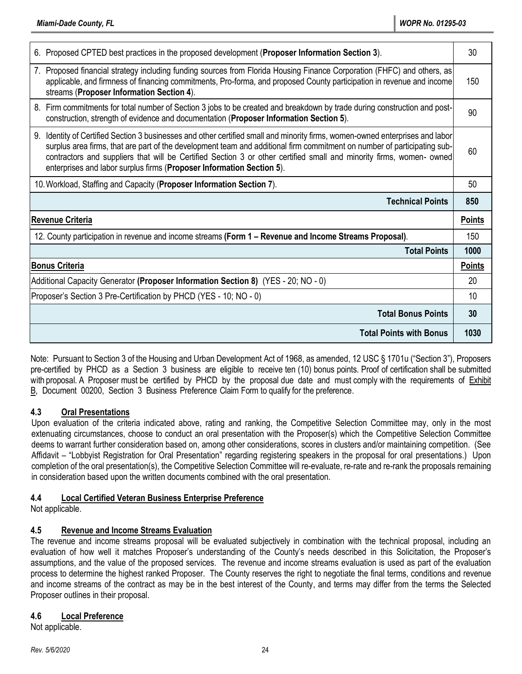| 6. Proposed CPTED best practices in the proposed development (Proposer Information Section 3).                                                                                                                                                                                                                                                                                                                                                                | 30            |
|---------------------------------------------------------------------------------------------------------------------------------------------------------------------------------------------------------------------------------------------------------------------------------------------------------------------------------------------------------------------------------------------------------------------------------------------------------------|---------------|
| 7. Proposed financial strategy including funding sources from Florida Housing Finance Corporation (FHFC) and others, as<br>applicable, and firmness of financing commitments, Pro-forma, and proposed County participation in revenue and income<br>streams (Proposer Information Section 4).                                                                                                                                                                 | 150           |
| 8. Firm commitments for total number of Section 3 jobs to be created and breakdown by trade during construction and post-<br>construction, strength of evidence and documentation (Proposer Information Section 5).                                                                                                                                                                                                                                           | 90            |
| 9.<br>Identity of Certified Section 3 businesses and other certified small and minority firms, women-owned enterprises and labor<br>surplus area firms, that are part of the development team and additional firm commitment on number of participating sub-<br>contractors and suppliers that will be Certified Section 3 or other certified small and minority firms, women- owned<br>enterprises and labor surplus firms (Proposer Information Section 5). | 60            |
| 10. Workload, Staffing and Capacity (Proposer Information Section 7).                                                                                                                                                                                                                                                                                                                                                                                         | 50            |
|                                                                                                                                                                                                                                                                                                                                                                                                                                                               |               |
| <b>Technical Points</b>                                                                                                                                                                                                                                                                                                                                                                                                                                       | 850           |
| <b>Revenue Criteria</b>                                                                                                                                                                                                                                                                                                                                                                                                                                       | <b>Points</b> |
| 12. County participation in revenue and income streams (Form 1 – Revenue and Income Streams Proposal).                                                                                                                                                                                                                                                                                                                                                        | 150           |
| <b>Total Points</b>                                                                                                                                                                                                                                                                                                                                                                                                                                           | 1000          |
| <b>Bonus Criteria</b>                                                                                                                                                                                                                                                                                                                                                                                                                                         | <b>Points</b> |
| Additional Capacity Generator (Proposer Information Section 8) (YES - 20; NO - 0)                                                                                                                                                                                                                                                                                                                                                                             | 20            |
| Proposer's Section 3 Pre-Certification by PHCD (YES - 10; NO - 0)                                                                                                                                                                                                                                                                                                                                                                                             | 10            |
| <b>Total Bonus Points</b>                                                                                                                                                                                                                                                                                                                                                                                                                                     | 30            |

Note: Pursuant to Section 3 of the Housing and Urban Development Act of 1968, as amended, 12 USC § 1701u ("Section 3"), Proposers pre-certified by PHCD as a Section 3 business are eligible to receive ten (10) bonus points. Proof of certification shall be submitted with proposal. A Proposer must be certified by PHCD by the proposal due date and must comply with the requirements of Exhibit B, Document 00200, Section 3 Business Preference Claim Form to qualify for the preference.

### **4.3 Oral Presentations**

Upon evaluation of the criteria indicated above, rating and ranking, the Competitive Selection Committee may, only in the most extenuating circumstances, choose to conduct an oral presentation with the Proposer(s) which the Competitive Selection Committee deems to warrant further consideration based on, among other considerations, scores in clusters and/or maintaining competition. (See Affidavit – "Lobbyist Registration for Oral Presentation" regarding registering speakers in the proposal for oral presentations.) Upon completion of the oral presentation(s), the Competitive Selection Committee will re-evaluate, re-rate and re-rank the proposals remaining in consideration based upon the written documents combined with the oral presentation.

### **4.4 Local Certified Veteran Business Enterprise Preference**

Not applicable.

# **4.5 Revenue and Income Streams Evaluation**

The revenue and income streams proposal will be evaluated subjectively in combination with the technical proposal, including an evaluation of how well it matches Proposer's understanding of the County's needs described in this Solicitation, the Proposer's assumptions, and the value of the proposed services. The revenue and income streams evaluation is used as part of the evaluation process to determine the highest ranked Proposer. The County reserves the right to negotiate the final terms, conditions and revenue and income streams of the contract as may be in the best interest of the County, and terms may differ from the terms the Selected Proposer outlines in their proposal.

### **4.6 Local Preference**

Not applicable.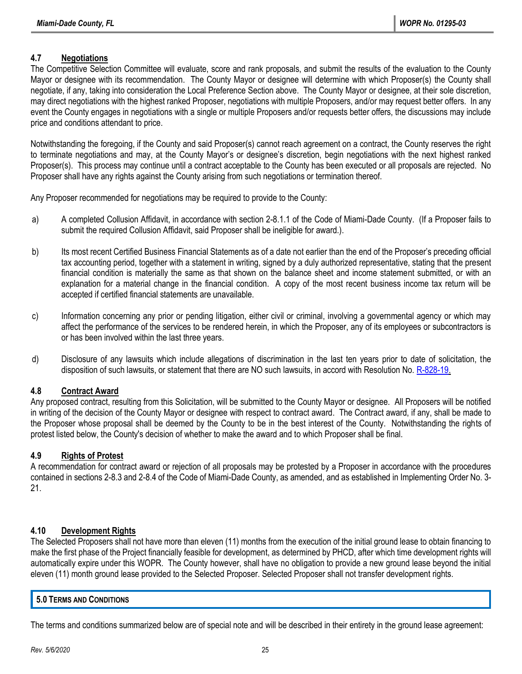# **4.7 Negotiations**

The Competitive Selection Committee will evaluate, score and rank proposals, and submit the results of the evaluation to the County Mayor or designee with its recommendation. The County Mayor or designee will determine with which Proposer(s) the County shall negotiate, if any, taking into consideration the Local Preference Section above. The County Mayor or designee, at their sole discretion, may direct negotiations with the highest ranked Proposer, negotiations with multiple Proposers, and/or may request better offers. In any event the County engages in negotiations with a single or multiple Proposers and/or requests better offers, the discussions may include price and conditions attendant to price.

Notwithstanding the foregoing, if the County and said Proposer(s) cannot reach agreement on a contract, the County reserves the right to terminate negotiations and may, at the County Mayor's or designee's discretion, begin negotiations with the next highest ranked Proposer(s). This process may continue until a contract acceptable to the County has been executed or all proposals are rejected. No Proposer shall have any rights against the County arising from such negotiations or termination thereof.

Any Proposer recommended for negotiations may be required to provide to the County:

- a) A completed Collusion Affidavit, in accordance with section 2-8.1.1 of the Code of Miami-Dade County. (If a Proposer fails to submit the required Collusion Affidavit, said Proposer shall be ineligible for award.).
- b) Its most recent Certified Business Financial Statements as of a date not earlier than the end of the Proposer's preceding official tax accounting period, together with a statement in writing, signed by a duly authorized representative, stating that the present financial condition is materially the same as that shown on the balance sheet and income statement submitted, or with an explanation for a material change in the financial condition. A copy of the most recent business income tax return will be accepted if certified financial statements are unavailable.
- c) Information concerning any prior or pending litigation, either civil or criminal, involving a governmental agency or which may affect the performance of the services to be rendered herein, in which the Proposer, any of its employees or subcontractors is or has been involved within the last three years.
- d) Disclosure of any lawsuits which include allegations of discrimination in the last ten years prior to date of solicitation, the disposition of such lawsuits, or statement that there are NO such lawsuits, in accord with Resolution No[. R-828-19.](http://www.miamidade.gov/govaction/matter.asp?matter=190936&file=true&fileAnalysis=false&yearFolder=Y2019)

### **4.8 Contract Award**

Any proposed contract, resulting from this Solicitation, will be submitted to the County Mayor or designee. All Proposers will be notified in writing of the decision of the County Mayor or designee with respect to contract award. The Contract award, if any, shall be made to the Proposer whose proposal shall be deemed by the County to be in the best interest of the County. Notwithstanding the rights of protest listed below, the County's decision of whether to make the award and to which Proposer shall be final.

### **4.9 Rights of Protest**

A recommendation for contract award or rejection of all proposals may be protested by a Proposer in accordance with the procedures contained in sections 2-8.3 and 2-8.4 of the Code of Miami-Dade County, as amended, and as established in Implementing Order No. 3- 21.

### **4.10 Development Rights**

The Selected Proposers shall not have more than eleven (11) months from the execution of the initial ground lease to obtain financing to make the first phase of the Project financially feasible for development, as determined by PHCD, after which time development rights will automatically expire under this WOPR. The County however, shall have no obligation to provide a new ground lease beyond the initial eleven (11) month ground lease provided to the Selected Proposer. Selected Proposer shall not transfer development rights.

#### **5.0 TERMS AND CONDITIONS**

The terms and conditions summarized below are of special note and will be described in their entirety in the ground lease agreement: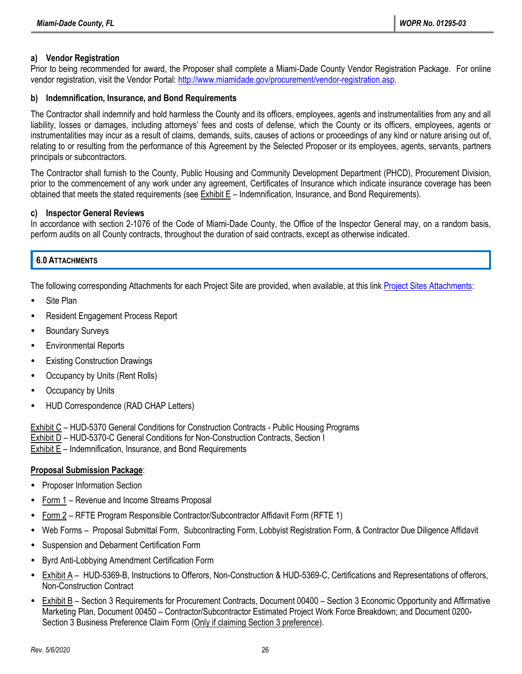### **a) Vendor Registration**

Prior to being recommended for award, the Proposer shall complete a Miami-Dade County Vendor Registration Package. For online vendor registration, visit the Vendor Portal: [http://www.miamidade.gov/procurement/vendor-registration.asp.](http://www.miamidade.gov/procurement/vendor-registration.asp)

#### **b) Indemnification, Insurance, and Bond Requirements**

The Contractor shall indemnify and hold harmless the County and its officers, employees, agents and instrumentalities from any and all liability, losses or damages, including attorneys' fees and costs of defense, which the County or its officers, employees, agents or instrumentalities may incur as a result of claims, demands, suits, causes of actions or proceedings of any kind or nature arising out of, relating to or resulting from the performance of this Agreement by the Selected Proposer or its employees, agents, servants, partners principals or subcontractors.

The Contractor shall furnish to the County, Public Housing and Community Development Department (PHCD), Procurement Division, prior to the commencement of any work under any agreement, Certificates of Insurance which indicate insurance coverage has been obtained that meets the stated requirements (see Exhibit E – Indemnification, Insurance, and Bond Requirements).

#### **c) Inspector General Reviews**

In accordance with section 2-1076 of the Code of Miami-Dade County, the Office of the Inspector General may, on a random basis, perform audits on all County contracts, throughout the duration of said contracts, except as otherwise indicated.

### **6.0 ATTACHMENTS**

The following corresponding Attachments for each Project Site are provided, when available, at this link [Project Sites Attachments:](https://app.box.com/s/xt060nlzp91p5uufdhl6hp0jtchhn8w2)

- Site Plan
- Resident Engagement Process Report
- Boundary Surveys
- Environmental Reports
- **Existing Construction Drawings**
- Occupancy by Units (Rent Rolls)
- Occupancy by Units
- HUD Correspondence (RAD CHAP Letters)

Exhibit C – HUD-5370 General Conditions for Construction Contracts - Public Housing Programs Exhibit D – HUD-5370-C General Conditions for Non-Construction Contracts, Section I Exhibit E – Indemnification, Insurance, and Bond Requirements

### **Proposal Submission Package**:

- Proposer Information Section
- Form 1 Revenue and Income Streams Proposal
- Form 2 RFTE Program Responsible Contractor/Subcontractor Affidavit Form (RFTE 1)
- Web Forms Proposal Submittal Form, Subcontracting Form, Lobbyist Registration Form, & Contractor Due Diligence Affidavit
- Suspension and Debarment Certification Form
- Byrd Anti-Lobbying Amendment Certification Form
- Exhibit A HUD-5369-B, Instructions to Offerors, Non-Construction & HUD-5369-C, Certifications and Representations of offerors, Non-Construction Contract
- Exhibit B Section 3 Requirements for Procurement Contracts, Document 00400 Section 3 Economic Opportunity and Affirmative Marketing Plan, Document 00450 – Contractor/Subcontractor Estimated Project Work Force Breakdown; and Document 0200- Section 3 Business Preference Claim Form (Only if claiming Section 3 preference).